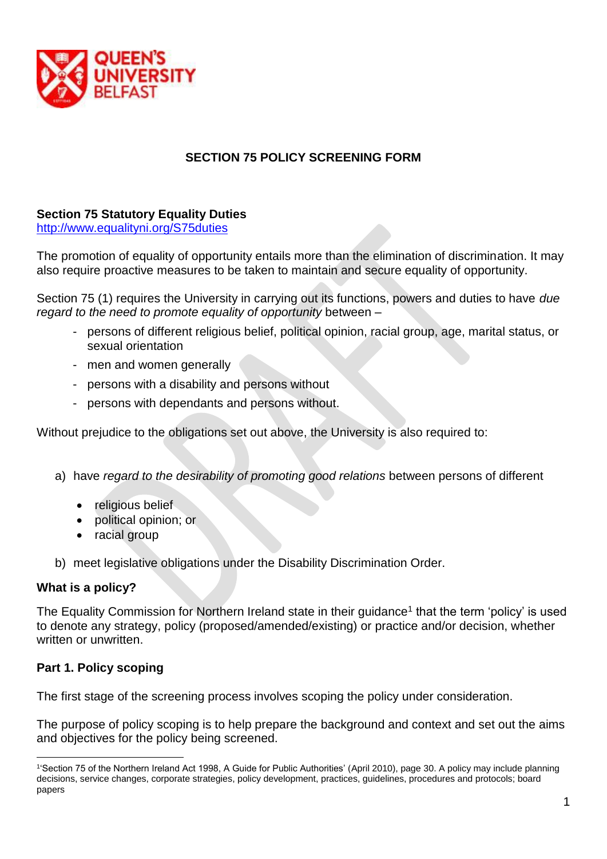

# **SECTION 75 POLICY SCREENING FORM**

# **Section 75 Statutory Equality Duties**

<http://www.equalityni.org/S75duties>

The promotion of equality of opportunity entails more than the elimination of discrimination. It may also require proactive measures to be taken to maintain and secure equality of opportunity.

Section 75 (1) requires the University in carrying out its functions, powers and duties to have *due regard to the need to promote equality of opportunity* between –

- persons of different religious belief, political opinion, racial group, age, marital status, or sexual orientation
- men and women generally
- persons with a disability and persons without
- persons with dependants and persons without.

Without prejudice to the obligations set out above, the University is also required to:

- a) have *regard to the desirability of promoting good relations* between persons of different
	- religious belief
	- political opinion; or
	- racial group
- b) meet legislative obligations under the Disability Discrimination Order.

## **What is a policy?**

The Equality Commission for Northern Ireland state in their guidance<sup>1</sup> that the term 'policy' is used to denote any strategy, policy (proposed/amended/existing) or practice and/or decision, whether written or unwritten.

## **Part 1. Policy scoping**

1

The first stage of the screening process involves scoping the policy under consideration.

The purpose of policy scoping is to help prepare the background and context and set out the aims and objectives for the policy being screened.

<sup>1</sup> 'Section 75 of the Northern Ireland Act 1998, A Guide for Public Authorities' (April 2010), page 30. A policy may include planning decisions, service changes, corporate strategies, policy development, practices, guidelines, procedures and protocols; board papers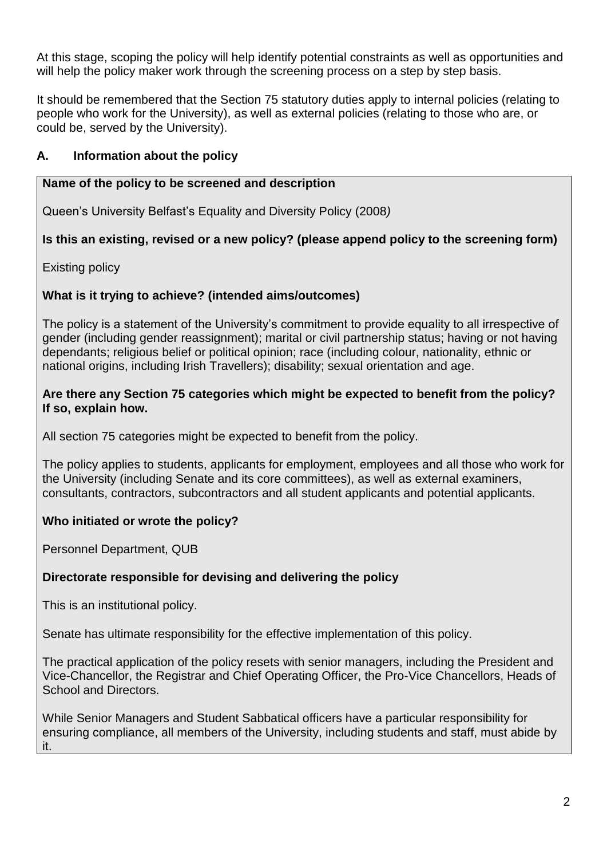At this stage, scoping the policy will help identify potential constraints as well as opportunities and will help the policy maker work through the screening process on a step by step basis.

It should be remembered that the Section 75 statutory duties apply to internal policies (relating to people who work for the University), as well as external policies (relating to those who are, or could be, served by the University).

# **A. Information about the policy**

#### **Name of the policy to be screened and description**

Queen's University Belfast's Equality and Diversity Policy (2008*)*

## **Is this an existing, revised or a new policy? (please append policy to the screening form)**

Existing policy

## **What is it trying to achieve? (intended aims/outcomes)**

The policy is a statement of the University's commitment to provide equality to all irrespective of gender (including gender reassignment); marital or civil partnership status; having or not having dependants; religious belief or political opinion; race (including colour, nationality, ethnic or national origins, including Irish Travellers); disability; sexual orientation and age.

#### **Are there any Section 75 categories which might be expected to benefit from the policy? If so, explain how.**

All section 75 categories might be expected to benefit from the policy.

The policy applies to students, applicants for employment, employees and all those who work for the University (including Senate and its core committees), as well as external examiners, consultants, contractors, subcontractors and all student applicants and potential applicants.

## **Who initiated or wrote the policy?**

Personnel Department, QUB

## **Directorate responsible for devising and delivering the policy**

This is an institutional policy.

Senate has ultimate responsibility for the effective implementation of this policy.

The practical application of the policy resets with senior managers, including the President and Vice-Chancellor, the Registrar and Chief Operating Officer, the Pro-Vice Chancellors, Heads of School and Directors.

While Senior Managers and Student Sabbatical officers have a particular responsibility for ensuring compliance, all members of the University, including students and staff, must abide by it.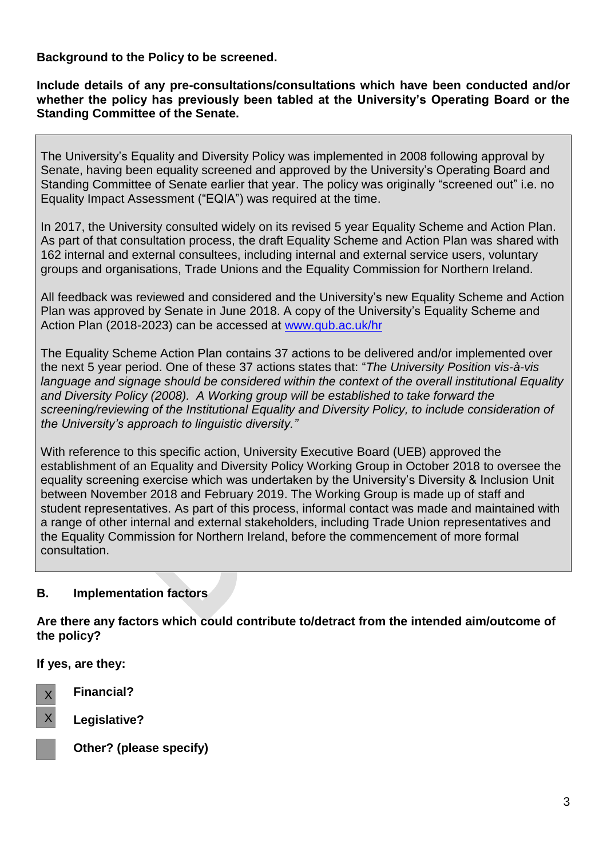**Background to the Policy to be screened.**

**Include details of any pre-consultations/consultations which have been conducted and/or whether the policy has previously been tabled at the University's Operating Board or the Standing Committee of the Senate.** 

The University's Equality and Diversity Policy was implemented in 2008 following approval by Senate, having been equality screened and approved by the University's Operating Board and Standing Committee of Senate earlier that year. The policy was originally "screened out" i.e. no Equality Impact Assessment ("EQIA") was required at the time.

In 2017, the University consulted widely on its revised 5 year Equality Scheme and Action Plan. As part of that consultation process, the draft Equality Scheme and Action Plan was shared with 162 internal and external consultees, including internal and external service users, voluntary groups and organisations, Trade Unions and the Equality Commission for Northern Ireland.

All feedback was reviewed and considered and the University's new Equality Scheme and Action Plan was approved by Senate in June 2018. A copy of the University's Equality Scheme and Action Plan (2018-2023) can be accessed at [www.qub.ac.uk/hr](http://www.qub.ac.uk/hr)

The Equality Scheme Action Plan contains 37 actions to be delivered and/or implemented over the next 5 year period. One of these 37 actions states that: "*The University Position vis-à-vis language and signage should be considered within the context of the overall institutional Equality and Diversity Policy (2008). A Working group will be established to take forward the screening/reviewing of the Institutional Equality and Diversity Policy, to include consideration of the University's approach to linguistic diversity."*

With reference to this specific action, University Executive Board (UEB) approved the establishment of an Equality and Diversity Policy Working Group in October 2018 to oversee the equality screening exercise which was undertaken by the University's Diversity & Inclusion Unit between November 2018 and February 2019. The Working Group is made up of staff and student representatives. As part of this process, informal contact was made and maintained with a range of other internal and external stakeholders, including Trade Union representatives and the Equality Commission for Northern Ireland, before the commencement of more formal consultation.

## **B. Implementation factors**

**Are there any factors which could contribute to/detract from the intended aim/outcome of the policy?**

**If yes, are they:**



**Financial?**

**Legislative?**



X

**Other? (please specify)**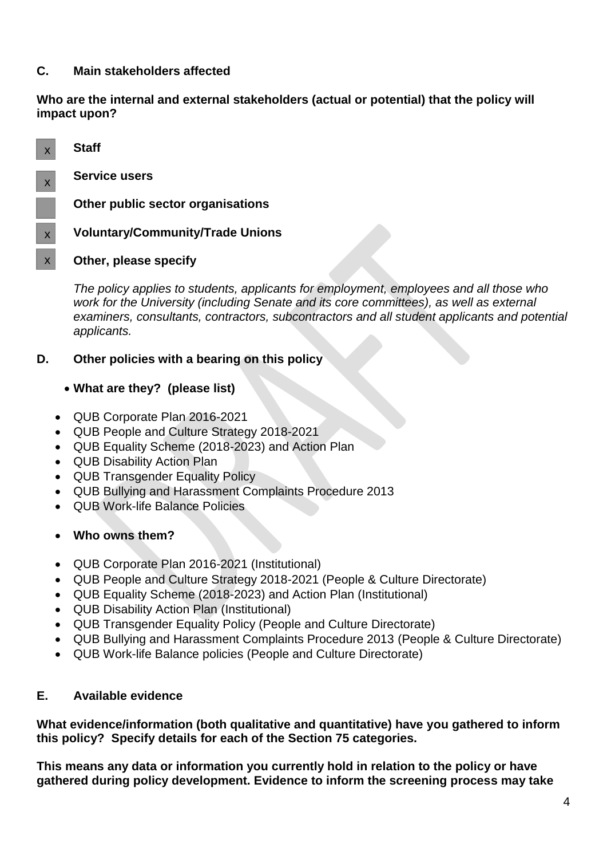## **C. Main stakeholders affected**

**Who are the internal and external stakeholders (actual or potential) that the policy will impact upon?**



*The policy applies to students, applicants for employment, employees and all those who*  work for the University (including Senate and its core committees), as well as external *examiners, consultants, contractors, subcontractors and all student applicants and potential applicants.*

#### **D. Other policies with a bearing on this policy**

## **What are they? (please list)**

- QUB Corporate Plan 2016-2021
- QUB People and Culture Strategy 2018-2021
- QUB Equality Scheme (2018-2023) and Action Plan
- QUB Disability Action Plan
- QUB Transgender Equality Policy
- QUB Bullying and Harassment Complaints Procedure 2013
- QUB Work-life Balance Policies

## **Who owns them?**

- QUB Corporate Plan 2016-2021 (Institutional)
- QUB People and Culture Strategy 2018-2021 (People & Culture Directorate)
- QUB Equality Scheme (2018-2023) and Action Plan (Institutional)
- QUB Disability Action Plan (Institutional)
- QUB Transgender Equality Policy (People and Culture Directorate)
- QUB Bullying and Harassment Complaints Procedure 2013 (People & Culture Directorate)
- QUB Work-life Balance policies (People and Culture Directorate)

#### **E. Available evidence**

**What evidence/information (both qualitative and quantitative) have you gathered to inform this policy? Specify details for each of the Section 75 categories.**

**This means any data or information you currently hold in relation to the policy or have gathered during policy development. Evidence to inform the screening process may take**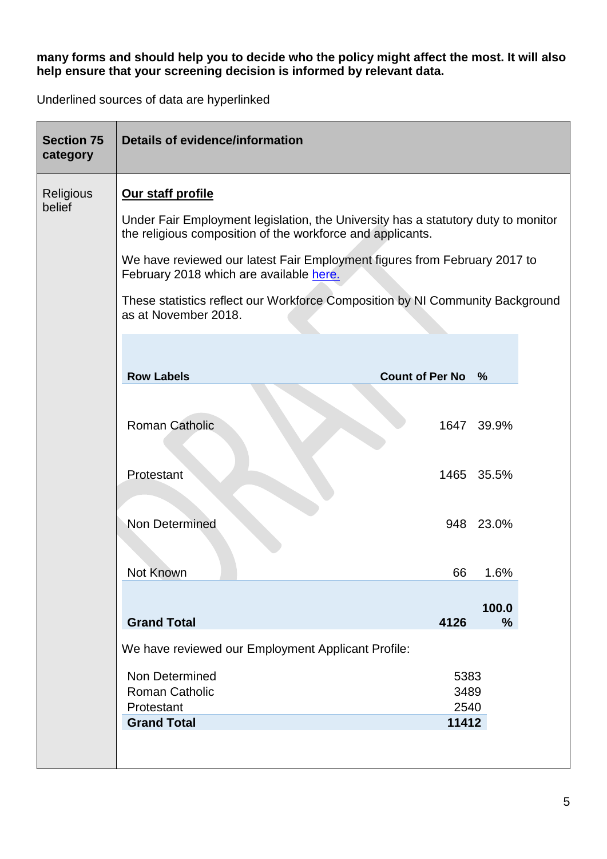#### **many forms and should help you to decide who the policy might affect the most. It will also help ensure that your screening decision is informed by relevant data.**

Underlined sources of data are hyperlinked

| <b>Section 75</b><br>category | <b>Details of evidence/information</b>                                                                                                          |                   |               |  |
|-------------------------------|-------------------------------------------------------------------------------------------------------------------------------------------------|-------------------|---------------|--|
| <b>Religious</b>              | Our staff profile                                                                                                                               |                   |               |  |
| belief                        | Under Fair Employment legislation, the University has a statutory duty to monitor<br>the religious composition of the workforce and applicants. |                   |               |  |
|                               | We have reviewed our latest Fair Employment figures from February 2017 to<br>February 2018 which are available here.                            |                   |               |  |
|                               | These statistics reflect our Workforce Composition by NI Community Background<br>as at November 2018.                                           |                   |               |  |
|                               |                                                                                                                                                 |                   |               |  |
|                               | <b>Row Labels</b>                                                                                                                               | Count of Per No % |               |  |
|                               |                                                                                                                                                 |                   |               |  |
|                               | <b>Roman Catholic</b>                                                                                                                           |                   | 1647 39.9%    |  |
|                               |                                                                                                                                                 |                   |               |  |
|                               | Protestant                                                                                                                                      |                   | 1465 35.5%    |  |
|                               |                                                                                                                                                 |                   |               |  |
|                               | <b>Non Determined</b>                                                                                                                           |                   | 948 23.0%     |  |
|                               |                                                                                                                                                 |                   |               |  |
|                               | Not Known                                                                                                                                       | 66                | 1.6%          |  |
|                               |                                                                                                                                                 |                   | 100.0         |  |
|                               | <b>Grand Total</b>                                                                                                                              | 4126              | $\frac{0}{0}$ |  |
|                               | We have reviewed our Employment Applicant Profile:                                                                                              |                   |               |  |
|                               | Non Determined                                                                                                                                  | 5383              |               |  |
|                               | <b>Roman Catholic</b><br>Protestant                                                                                                             | 3489<br>2540      |               |  |
|                               | <b>Grand Total</b>                                                                                                                              | 11412             |               |  |
|                               |                                                                                                                                                 |                   |               |  |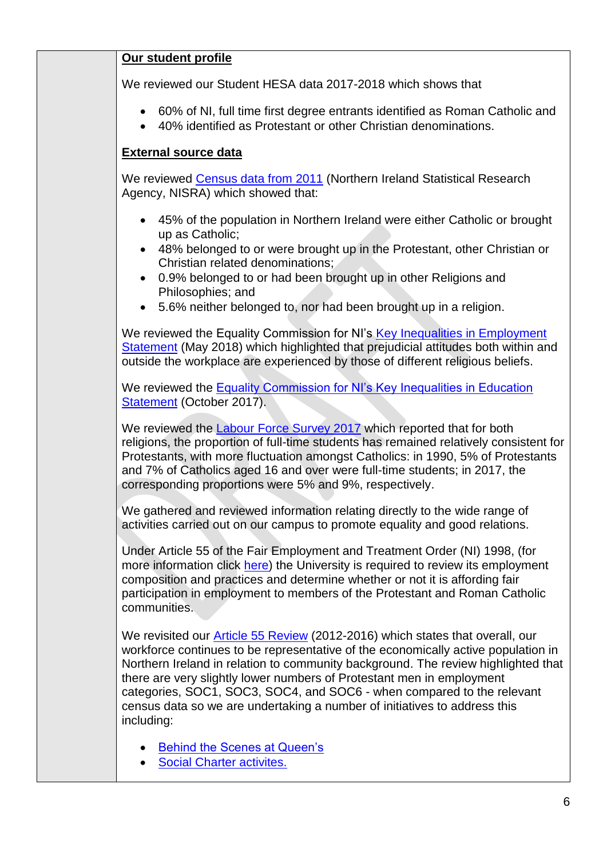|--|

We reviewed our Student HESA data 2017-2018 which shows that

- 60% of NI, full time first degree entrants identified as Roman Catholic and
- 40% identified as Protestant or other Christian denominations.

# **External source data**

We reviewed [Census data from 2011](https://www.nisra.gov.uk/sites/nisra.gov.uk/files/publications/2011-census-results-key-statistics-statistics-bulletin-11-december-2012.pdf) (Northern Ireland Statistical Research Agency, NISRA) which showed that:

- 45% of the population in Northern Ireland were either Catholic or brought up as Catholic;
- 48% belonged to or were brought up in the Protestant, other Christian or Christian related denominations;
- 0.9% belonged to or had been brought up in other Religions and Philosophies; and
- 5.6% neither belonged to, nor had been brought up in a religion.

We reviewed the Equality Commission for NI's Key Inequalities in Employment [Statement](https://www.equalityni.org/ECNI/media/ECNI/Publications/Delivering%20Equality/Employment-KeyInequalitiesStatement.pdf) (May 2018) which highlighted that prejudicial attitudes both within and outside the workplace are experienced by those of different religious beliefs.

We reviewed the Equality Commission for NI's Key Inequalities in Education [Statement](https://www.equalityni.org/ECNI/media/ECNI/Publications/Delivering%20Equality/EducationKeyInequalities-FinalStatement.pdf) (October 2017).

We reviewed the [Labour Force Survey 2017](https://www.executiveoffice-ni.gov.uk/sites/default/files/publications/execoffice/lfs-religion-report-2017.pdf) which reported that for both religions, the proportion of full-time students has remained relatively consistent for Protestants, with more fluctuation amongst Catholics: in 1990, 5% of Protestants and 7% of Catholics aged 16 and over were full-time students; in 2017, the corresponding proportions were 5% and 9%, respectively.

We gathered and reviewed information relating directly to the wide range of activities carried out on our campus to promote equality and good relations.

Under Article 55 of the Fair Employment and Treatment Order (NI) 1998, (for more information click [here\)](http://www.qub.ac.uk/directorates/HumanResources/DiversityandInclusionUnit/WhatWeDo/EqualityReporting/Article55Review/) the University is required to review its employment composition and practices and determine whether or not it is affording fair participation in employment to members of the Protestant and Roman Catholic communities.

We revisited our **Article 55 Review** (2012-2016) which states that overall, our workforce continues to be representative of the economically active population in Northern Ireland in relation to community background. The review highlighted that there are very slightly lower numbers of Protestant men in employment categories, SOC1, SOC3, SOC4, and SOC6 - when compared to the relevant census data so we are undertaking a number of initiatives to address this including:

- [Behind the Scenes at Queen's](https://www.qub.ac.uk/directorates/HumanResources/DiversityandInclusionUnit/LatestNews/Outreacheventdesignedtoencourageapplicationsforjobsfromunder-representedgroups.html)
- **[Social Charter](http://www.qub.ac.uk/home/Filestore/Filetoupload,781437,en.pdf) activites.**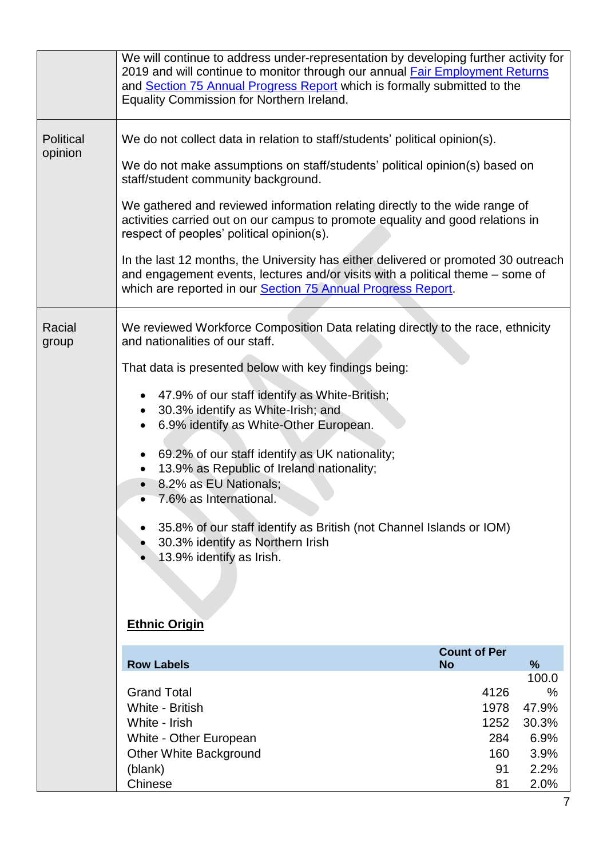|                      | We will continue to address under-representation by developing further activity for<br>2019 and will continue to monitor through our annual <b>Fair Employment Returns</b><br>and Section 75 Annual Progress Report which is formally submitted to the<br>Equality Commission for Northern Ireland.                                                                                                                                                                                                                                                                                                                                                     |                                                                                    |                                                                   |
|----------------------|---------------------------------------------------------------------------------------------------------------------------------------------------------------------------------------------------------------------------------------------------------------------------------------------------------------------------------------------------------------------------------------------------------------------------------------------------------------------------------------------------------------------------------------------------------------------------------------------------------------------------------------------------------|------------------------------------------------------------------------------------|-------------------------------------------------------------------|
| Political<br>opinion | We do not collect data in relation to staff/students' political opinion(s).<br>We do not make assumptions on staff/students' political opinion(s) based on<br>staff/student community background.<br>We gathered and reviewed information relating directly to the wide range of<br>activities carried out on our campus to promote equality and good relations in<br>respect of peoples' political opinion(s).<br>In the last 12 months, the University has either delivered or promoted 30 outreach<br>and engagement events, lectures and/or visits with a political theme – some of<br>which are reported in our Section 75 Annual Progress Report. |                                                                                    |                                                                   |
| Racial<br>group      | We reviewed Workforce Composition Data relating directly to the race, ethnicity<br>and nationalities of our staff.<br>That data is presented below with key findings being:<br>47.9% of our staff identify as White-British;<br>30.3% identify as White-Irish; and<br>6.9% identify as White-Other European.<br>69.2% of our staff identify as UK nationality;<br>13.9% as Republic of Ireland nationality;<br>8.2% as EU Nationals;<br>7.6% as International.<br>$\bullet$<br>35.8% of our staff identify as British (not Channel Islands or IOM)<br>30.3% identify as Northern Irish<br>13.9% identify as Irish.<br><b>Ethnic Origin</b>              |                                                                                    |                                                                   |
|                      | <b>Row Labels</b><br><b>Grand Total</b><br>White - British<br>White - Irish<br>White - Other European<br>Other White Background<br>(blank)<br>Chinese                                                                                                                                                                                                                                                                                                                                                                                                                                                                                                   | <b>Count of Per</b><br><b>No</b><br>4126<br>1978<br>1252<br>284<br>160<br>91<br>81 | %<br>100.0<br>%<br>47.9%<br>30.3%<br>6.9%<br>3.9%<br>2.2%<br>2.0% |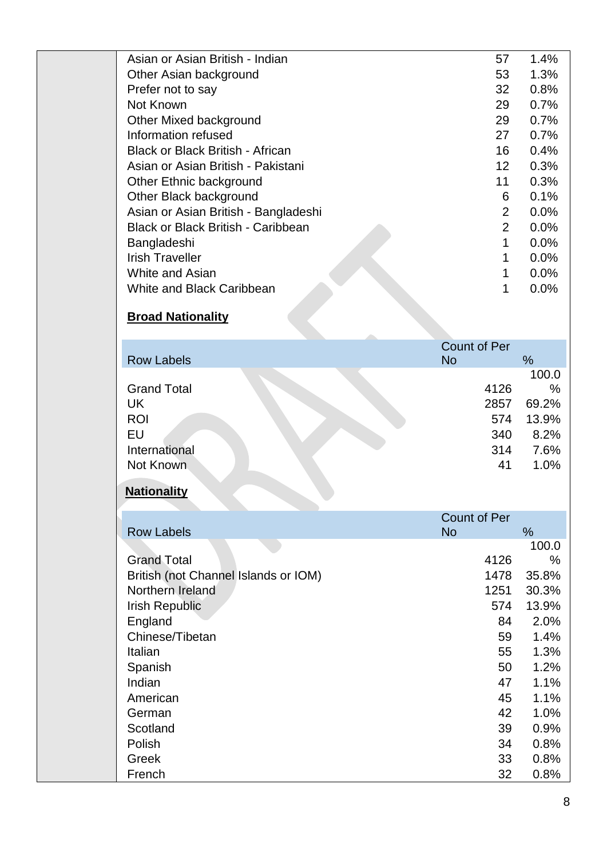| Asian or Asian British - Indian           | 57                | $1.4\%$ |
|-------------------------------------------|-------------------|---------|
| Other Asian background                    | 53                | 1.3%    |
| Prefer not to say                         | 32                | 0.8%    |
| Not Known                                 | 29                | 0.7%    |
| Other Mixed background                    | 29                | 0.7%    |
| Information refused                       | 27                | 0.7%    |
| <b>Black or Black British - African</b>   | 16                | 0.4%    |
| Asian or Asian British - Pakistani        | $12 \overline{ }$ | 0.3%    |
| Other Ethnic background                   | 11                | 0.3%    |
| Other Black background                    | 6                 | 0.1%    |
| Asian or Asian British - Bangladeshi      | 2                 | $0.0\%$ |
| <b>Black or Black British - Caribbean</b> | $\overline{2}$    | 0.0%    |
| Bangladeshi                               | 1                 | 0.0%    |
| <b>Irish Traveller</b>                    | 1                 | 0.0%    |
| White and Asian                           | 1                 | 0.0%    |
| White and Black Caribbean                 |                   | 0.0%    |
| <b>Broad Nationality</b>                  |                   |         |

# **Broad Nationality**

| <b>Row Labels</b>                                                          | <b>Count of Per</b><br><b>No</b>        | %                                                       |
|----------------------------------------------------------------------------|-----------------------------------------|---------------------------------------------------------|
| <b>Grand Total</b><br>UK<br><b>ROI</b><br>EU<br>International<br>Not Known | 4126<br>2857<br>574<br>340<br>314<br>41 | 100.0<br>$\%$<br>69.2%<br>13.9%<br>8.2%<br>7.6%<br>1.0% |

# **Nationality**

|                                      | <b>Count of Per</b> |       |
|--------------------------------------|---------------------|-------|
| <b>Row Labels</b>                    | <b>No</b>           | %     |
|                                      |                     | 100.0 |
| <b>Grand Total</b>                   | 4126                | $\%$  |
| British (not Channel Islands or IOM) | 1478                | 35.8% |
| Northern Ireland                     | 1251                | 30.3% |
| <b>Irish Republic</b>                | 574                 | 13.9% |
| England                              | 84                  | 2.0%  |
| Chinese/Tibetan                      | 59                  | 1.4%  |
| Italian                              | 55                  | 1.3%  |
| Spanish                              | 50                  | 1.2%  |
| Indian                               | 47                  | 1.1%  |
| American                             | 45                  | 1.1%  |
| German                               | 42                  | 1.0%  |
| Scotland                             | 39                  | 0.9%  |
| Polish                               | 34                  | 0.8%  |
| Greek                                | 33                  | 0.8%  |
| French                               | 32                  | 0.8%  |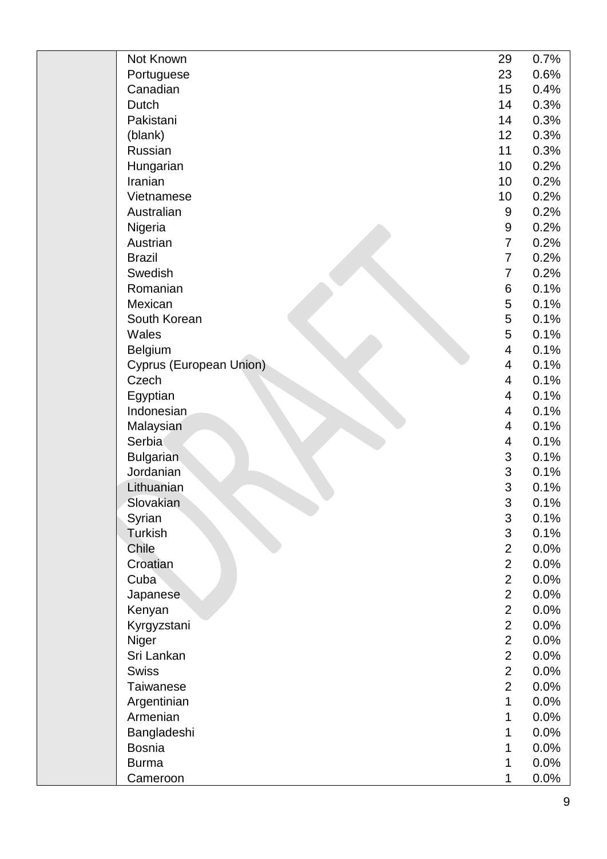| Not Known               | 29                       | 0.7% |
|-------------------------|--------------------------|------|
| Portuguese              | 23                       | 0.6% |
| Canadian                | 15                       | 0.4% |
| <b>Dutch</b>            | 14                       | 0.3% |
| Pakistani               | 14                       | 0.3% |
| (blank)                 | 12                       | 0.3% |
| Russian                 | 11                       | 0.3% |
| Hungarian               | 10                       | 0.2% |
| Iranian                 | 10                       | 0.2% |
| Vietnamese              | 10                       | 0.2% |
| Australian              | 9                        | 0.2% |
| Nigeria                 | 9                        | 0.2% |
| Austrian                | $\overline{7}$           | 0.2% |
| <b>Brazil</b>           | $\overline{7}$           | 0.2% |
| Swedish                 | $\overline{7}$           | 0.2% |
| Romanian                | 6                        | 0.1% |
| Mexican                 | 5                        | 0.1% |
| South Korean            | 5                        | 0.1% |
| Wales                   | 5                        | 0.1% |
| <b>Belgium</b>          | $\overline{\mathbf{4}}$  | 0.1% |
| Cyprus (European Union) | $\overline{\mathcal{A}}$ | 0.1% |
| Czech                   | $\overline{\mathcal{A}}$ | 0.1% |
| Egyptian                | $\overline{\mathcal{A}}$ | 0.1% |
| Indonesian              | $\overline{\mathcal{A}}$ | 0.1% |
| Malaysian               | $\overline{\mathcal{A}}$ | 0.1% |
| Serbia                  | $\overline{\mathbf{4}}$  | 0.1% |
| <b>Bulgarian</b>        | 3                        | 0.1% |
| Jordanian               | 3                        | 0.1% |
| Lithuanian              | 3                        | 0.1% |
| Slovakian               | 3                        | 0.1% |
| Syrian                  | $\mathfrak{B}$           | 0.1% |
| Turkish                 | 3                        | 0.1% |
| Chile                   | $\overline{2}$           | 0.0% |
| Croatian                | $\overline{2}$           | 0.0% |
| Cuba                    | $\overline{2}$           | 0.0% |
| Japanese                | $\overline{2}$           | 0.0% |
| Kenyan                  | $\overline{2}$           | 0.0% |
| Kyrgyzstani             | $\overline{2}$           | 0.0% |
| Niger                   | $\overline{2}$           | 0.0% |
| Sri Lankan              | $\overline{2}$           | 0.0% |
| <b>Swiss</b>            | $\overline{2}$           | 0.0% |
| <b>Taiwanese</b>        | $\overline{2}$           | 0.0% |
| Argentinian             | 1                        | 0.0% |
| Armenian                | 1                        | 0.0% |
| Bangladeshi             | 1                        | 0.0% |
| <b>Bosnia</b>           | 1                        | 0.0% |
| <b>Burma</b>            | 1                        | 0.0% |
| Cameroon                | 1                        | 0.0% |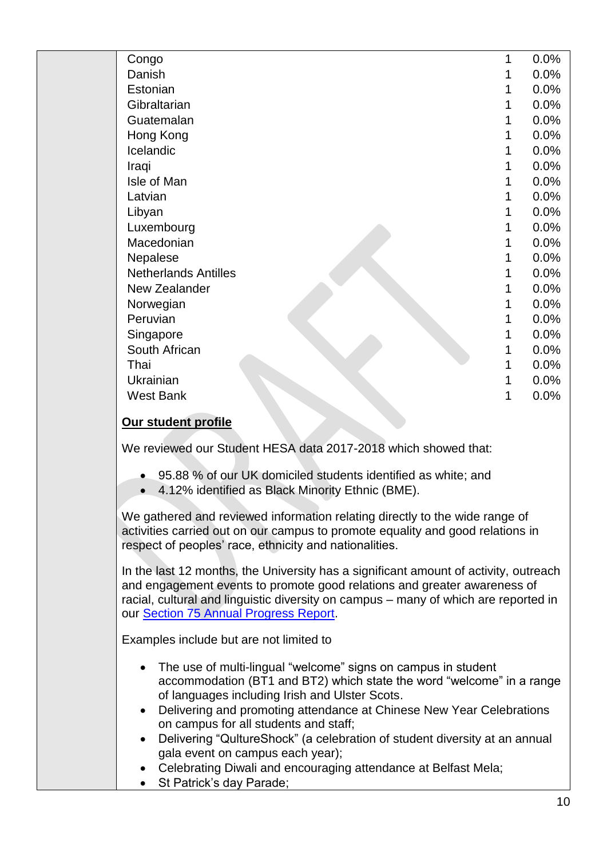| Congo                                                                                                                                                                                                                                                                                             | 1 | 0.0% |  |
|---------------------------------------------------------------------------------------------------------------------------------------------------------------------------------------------------------------------------------------------------------------------------------------------------|---|------|--|
| Danish                                                                                                                                                                                                                                                                                            | 1 | 0.0% |  |
| Estonian                                                                                                                                                                                                                                                                                          | 1 | 0.0% |  |
| Gibraltarian                                                                                                                                                                                                                                                                                      | 1 | 0.0% |  |
| Guatemalan                                                                                                                                                                                                                                                                                        | 1 | 0.0% |  |
| Hong Kong                                                                                                                                                                                                                                                                                         | 1 | 0.0% |  |
| Icelandic                                                                                                                                                                                                                                                                                         | 1 | 0.0% |  |
| Iraqi                                                                                                                                                                                                                                                                                             | 1 | 0.0% |  |
| Isle of Man                                                                                                                                                                                                                                                                                       | 1 | 0.0% |  |
| Latvian                                                                                                                                                                                                                                                                                           | 1 | 0.0% |  |
| Libyan                                                                                                                                                                                                                                                                                            | 1 | 0.0% |  |
| Luxembourg                                                                                                                                                                                                                                                                                        | 1 | 0.0% |  |
| Macedonian                                                                                                                                                                                                                                                                                        | 1 | 0.0% |  |
| Nepalese                                                                                                                                                                                                                                                                                          | 1 | 0.0% |  |
| <b>Netherlands Antilles</b>                                                                                                                                                                                                                                                                       | 1 | 0.0% |  |
| New Zealander                                                                                                                                                                                                                                                                                     |   | 0.0% |  |
| Norwegian                                                                                                                                                                                                                                                                                         |   | 0.0% |  |
| Peruvian                                                                                                                                                                                                                                                                                          |   | 0.0% |  |
| Singapore                                                                                                                                                                                                                                                                                         | 1 | 0.0% |  |
| South African                                                                                                                                                                                                                                                                                     |   | 0.0% |  |
| Thai                                                                                                                                                                                                                                                                                              | 1 | 0.0% |  |
| Ukrainian                                                                                                                                                                                                                                                                                         | 1 | 0.0% |  |
| <b>West Bank</b>                                                                                                                                                                                                                                                                                  | 1 | 0.0% |  |
| Our student profile                                                                                                                                                                                                                                                                               |   |      |  |
| We reviewed our Student HESA data 2017-2018 which showed that:                                                                                                                                                                                                                                    |   |      |  |
| 95.88 % of our UK domiciled students identified as white; and<br>4.12% identified as Black Minority Ethnic (BME).<br>$\bullet$                                                                                                                                                                    |   |      |  |
| We gathered and reviewed information relating directly to the wide range of<br>activities carried out on our campus to promote equality and good relations in<br>respect of peoples' race, ethnicity and nationalities.                                                                           |   |      |  |
| In the last 12 months, the University has a significant amount of activity, outreach<br>and engagement events to promote good relations and greater awareness of<br>racial, cultural and linguistic diversity on campus - many of which are reported in<br>our Section 75 Annual Progress Report. |   |      |  |

Examples include but are not limited to

- The use of multi-lingual "welcome" signs on campus in student accommodation (BT1 and BT2) which state the word "welcome" in a range of languages including Irish and Ulster Scots.
- Delivering and promoting attendance at Chinese New Year Celebrations on campus for all students and staff;
- Delivering "QultureShock" (a celebration of student diversity at an annual gala event on campus each year);
- Celebrating Diwali and encouraging attendance at Belfast Mela;
- St Patrick's day Parade;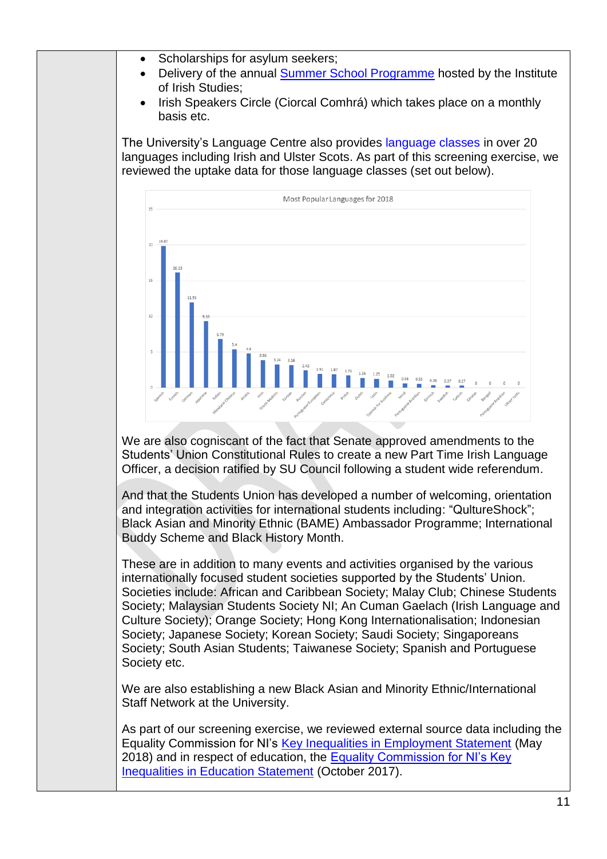- Scholarships for asylum seekers;
- Delivery of the annual [Summer School Programme](http://www.qub.ac.uk/schools/media/Media,796366,en.pdf) hosted by the Institute of Irish Studies;
- Irish Speakers Circle (Ciorcal Comhrá) which takes place on a monthly basis etc.

The University's Language Centre also provides [language classes](https://www.qub.ac.uk/directorates/InformationServices/LanguageCentre/Courses/LanguageClasses/) in over 20 languages including Irish and Ulster Scots. As part of this screening exercise, we reviewed the uptake data for those language classes (set out below).



We are also cogniscant of the fact that Senate approved amendments to the Students' Union Constitutional Rules to create a new Part Time Irish Language Officer, a decision ratified by SU Council following a student wide referendum.

And that the Students Union has developed a number of welcoming, orientation and integration activities for international students including: "QultureShock"; Black Asian and Minority Ethnic (BAME) Ambassador Programme; International Buddy Scheme and Black History Month.

These are in addition to many events and activities organised by the various internationally focused student societies supported by the Students' Union. Societies include: African and Caribbean Society; Malay Club; Chinese Students Society; Malaysian Students Society NI; An Cuman Gaelach (Irish Language and Culture Society); Orange Society; Hong Kong Internationalisation; Indonesian Society; Japanese Society; Korean Society; Saudi Society; Singaporeans Society; South Asian Students; Taiwanese Society; Spanish and Portuguese Society etc.

We are also establishing a new Black Asian and Minority Ethnic/International Staff Network at the University.

As part of our screening exercise, we reviewed external source data including the Equality Commission for NI's [Key Inequalities in Employment Statement](https://www.equalityni.org/ECNI/media/ECNI/Publications/Delivering%20Equality/Employment-KeyInequalitiesStatement.pdf) (May 2018) and in respect of education, the [Equality Commission for NI's Key](https://www.equalityni.org/ECNI/media/ECNI/Publications/Delivering%20Equality/EducationKeyInequalities-FinalStatement.pdf)  [Inequalities in Education Statement](https://www.equalityni.org/ECNI/media/ECNI/Publications/Delivering%20Equality/EducationKeyInequalities-FinalStatement.pdf) (October 2017).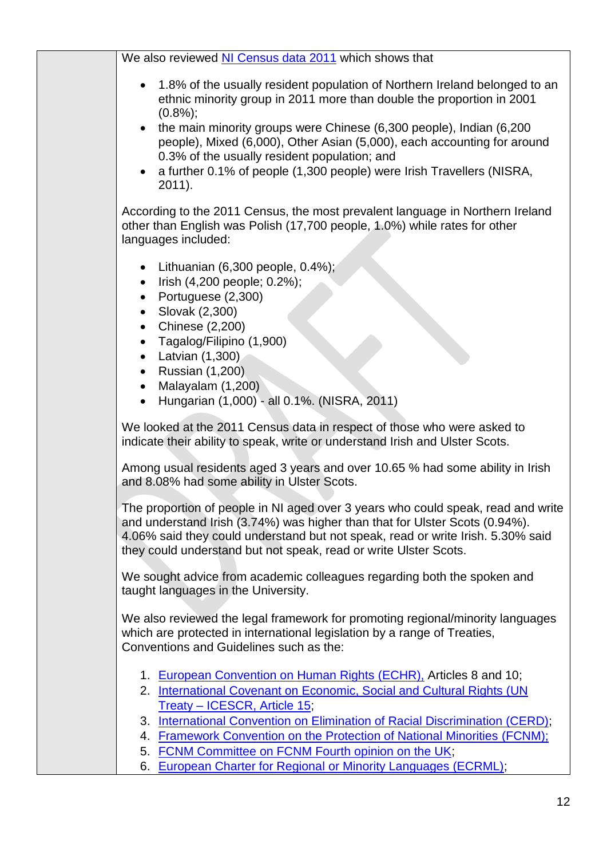| We also reviewed NI Census data 2011 which shows that                                                                                                                                                                                                                                                                  |
|------------------------------------------------------------------------------------------------------------------------------------------------------------------------------------------------------------------------------------------------------------------------------------------------------------------------|
| 1.8% of the usually resident population of Northern Ireland belonged to an<br>ethnic minority group in 2011 more than double the proportion in 2001<br>$(0.8\%)$ ;                                                                                                                                                     |
| the main minority groups were Chinese (6,300 people), Indian (6,200<br>people), Mixed (6,000), Other Asian (5,000), each accounting for around<br>0.3% of the usually resident population; and                                                                                                                         |
| a further 0.1% of people (1,300 people) were Irish Travellers (NISRA,<br>2011).                                                                                                                                                                                                                                        |
| According to the 2011 Census, the most prevalent language in Northern Ireland<br>other than English was Polish (17,700 people, 1.0%) while rates for other<br>languages included:                                                                                                                                      |
| Lithuanian (6,300 people, 0.4%);<br>Irish (4,200 people; 0.2%);<br>$\bullet$<br>• Portuguese $(2,300)$<br>Slovak (2,300)<br>• Chinese $(2,200)$                                                                                                                                                                        |
| Tagalog/Filipino (1,900)<br>$\bullet$<br>• Latvian $(1,300)$                                                                                                                                                                                                                                                           |
| Russian (1,200)<br>Malayalam (1,200)<br>$\bullet$<br>Hungarian (1,000) - all 0.1%. (NISRA, 2011)                                                                                                                                                                                                                       |
| We looked at the 2011 Census data in respect of those who were asked to<br>indicate their ability to speak, write or understand Irish and Ulster Scots.                                                                                                                                                                |
| Among usual residents aged 3 years and over 10.65 % had some ability in Irish<br>and 8.08% had some ability in Ulster Scots.                                                                                                                                                                                           |
| The proportion of people in NI aged over 3 years who could speak, read and write<br>and understand Irish (3.74%) was higher than that for Ulster Scots (0.94%).<br>4.06% said they could understand but not speak, read or write Irish. 5.30% said<br>they could understand but not speak, read or write Ulster Scots. |
| We sought advice from academic colleagues regarding both the spoken and<br>taught languages in the University.                                                                                                                                                                                                         |
| We also reviewed the legal framework for promoting regional/minority languages<br>which are protected in international legislation by a range of Treaties,<br>Conventions and Guidelines such as the:                                                                                                                  |
| 1. European Convention on Human Rights (ECHR), Articles 8 and 10;<br>2. International Covenant on Economic, Social and Cultural Rights (UN                                                                                                                                                                             |
| Treaty - ICESCR, Article 15;                                                                                                                                                                                                                                                                                           |
| 3. International Convention on Elimination of Racial Discrimination (CERD);<br>4. Framework Convention on the Protection of National Minorities (FCNM);                                                                                                                                                                |
| 5. FCNM Committee on FCNM Fourth opinion on the UK;                                                                                                                                                                                                                                                                    |
| 6. European Charter for Regional or Minority Languages (ECRML);                                                                                                                                                                                                                                                        |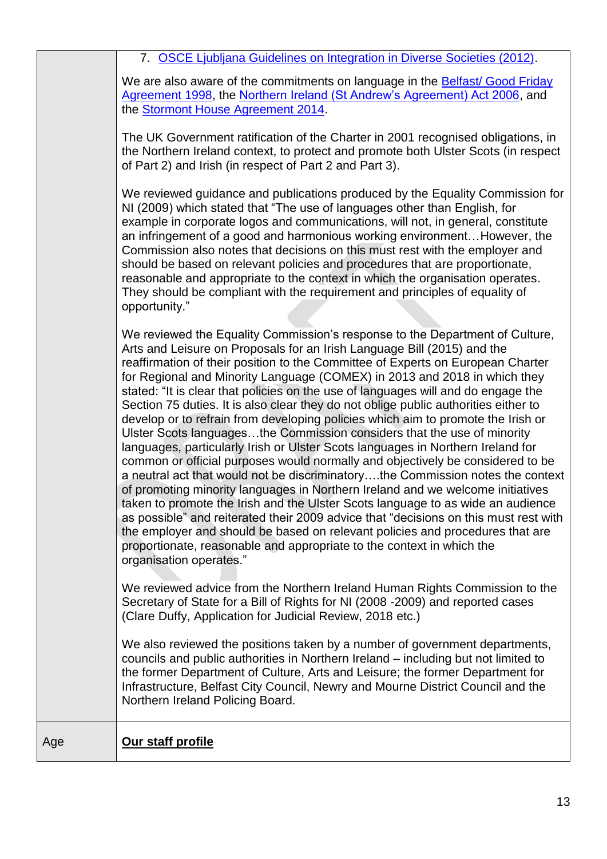7. [OSCE Ljubljana Guidelines on Integration in Diverse Societies \(2012\).](https://www.osce.org/hcnm/ljubljana-guidelines?download=true)

We are also aware of the commitments on language in the **Belfast/ Good Friday** [Agreement 1998,](https://assets.publishing.service.gov.uk/government/uploads/system/uploads/attachment_data/file/136652/agreement.pdf) the [Northern Ireland \(St Andrew's Agreement\) Act 2006,](http://www.legislation.gov.uk/ukpga/2006/53/section/15) and the [Stormont House Agreement 2014.](https://assets.publishing.service.gov.uk/government/uploads/system/uploads/attachment_data/file/390672/Stormont_House_Agreement.pdf)

The UK Government ratification of the Charter in 2001 recognised obligations, in the Northern Ireland context, to protect and promote both Ulster Scots (in respect of Part 2) and Irish (in respect of Part 2 and Part 3).

We reviewed guidance and publications produced by the Equality Commission for NI (2009) which stated that "The use of languages other than English, for example in corporate logos and communications, will not, in general, constitute an infringement of a good and harmonious working environment…However, the Commission also notes that decisions on this must rest with the employer and should be based on relevant policies and procedures that are proportionate, reasonable and appropriate to the context in which the organisation operates. They should be compliant with the requirement and principles of equality of opportunity."

We reviewed the Equality Commission's response to the Department of Culture, Arts and Leisure on Proposals for an Irish Language Bill (2015) and the reaffirmation of their position to the Committee of Experts on European Charter for Regional and Minority Language (COMEX) in 2013 and 2018 in which they stated: "It is clear that policies on the use of languages will and do engage the Section 75 duties. It is also clear they do not oblige public authorities either to develop or to refrain from developing policies which aim to promote the Irish or Ulster Scots languages…the Commission considers that the use of minority languages, particularly Irish or Ulster Scots languages in Northern Ireland for common or official purposes would normally and objectively be considered to be a neutral act that would not be discriminatory….the Commission notes the context of promoting minority languages in Northern Ireland and we welcome initiatives taken to promote the Irish and the Ulster Scots language to as wide an audience as possible" and reiterated their 2009 advice that "decisions on this must rest with the employer and should be based on relevant policies and procedures that are proportionate, reasonable and appropriate to the context in which the organisation operates."

We reviewed advice from the Northern Ireland Human Rights Commission to the Secretary of State for a Bill of Rights for NI (2008 -2009) and reported cases (Clare Duffy, Application for Judicial Review, 2018 etc.)

We also reviewed the positions taken by a number of government departments, councils and public authorities in Northern Ireland – including but not limited to the former Department of Culture, Arts and Leisure; the former Department for Infrastructure, Belfast City Council, Newry and Mourne District Council and the Northern Ireland Policing Board.

Age **Our staff profile**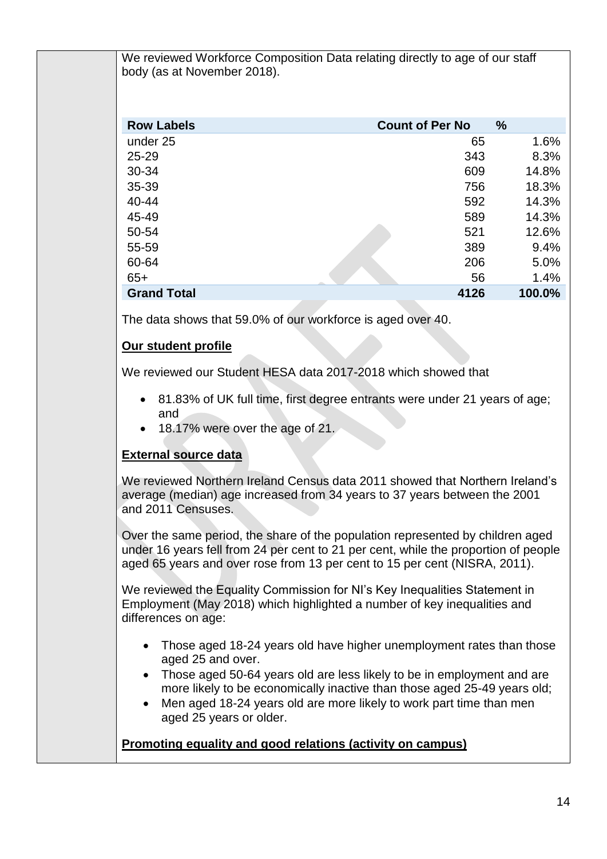We reviewed Workforce Composition Data relating directly to age of our staff body (as at November 2018).

| <b>Row Labels</b>  | <b>Count of Per No</b> | $\frac{0}{0}$ |
|--------------------|------------------------|---------------|
| under 25           | 65                     | 1.6%          |
| $25 - 29$          | 343                    | 8.3%          |
| 30-34              | 609                    | 14.8%         |
| 35-39              | 756                    | 18.3%         |
| $40 - 44$          | 592                    | 14.3%         |
| 45-49              | 589                    | 14.3%         |
| 50-54              | 521                    | 12.6%         |
| 55-59              | 389                    | 9.4%          |
| 60-64              | 206                    | 5.0%          |
| $65+$              | 56                     | 1.4%          |
| <b>Grand Total</b> | 4126                   | 100.0%        |

The data shows that 59.0% of our workforce is aged over 40.

# **Our student profile**

We reviewed our Student HESA data 2017-2018 which showed that

- 81.83% of UK full time, first degree entrants were under 21 years of age; and
- 18.17% were over the age of 21.

# **External source data**

We reviewed Northern Ireland Census data 2011 showed that Northern Ireland's average (median) age increased from 34 years to 37 years between the 2001 and 2011 Censuses.

Over the same period, the share of the population represented by children aged under 16 years fell from 24 per cent to 21 per cent, while the proportion of people aged 65 years and over rose from 13 per cent to 15 per cent (NISRA, 2011).

We reviewed the Equality Commission for NI's Key Inequalities Statement in Employment (May 2018) which highlighted a number of key inequalities and differences on age:

- Those aged 18-24 years old have higher unemployment rates than those aged 25 and over.
- Those aged 50-64 years old are less likely to be in employment and are more likely to be economically inactive than those aged 25-49 years old;
- Men aged 18-24 years old are more likely to work part time than men aged 25 years or older.

## **Promoting equality and good relations (activity on campus)**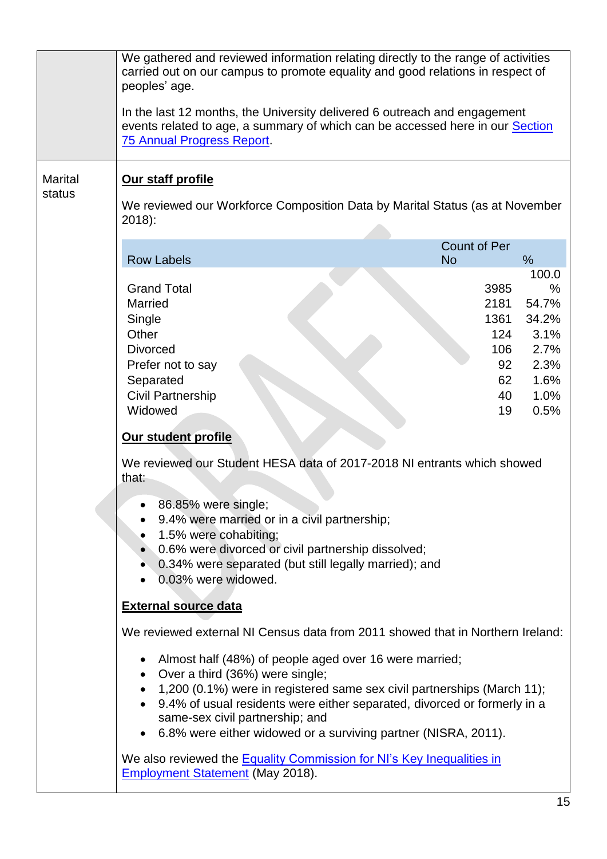|                          | We gathered and reviewed information relating directly to the range of activities<br>carried out on our campus to promote equality and good relations in respect of<br>peoples' age.<br>In the last 12 months, the University delivered 6 outreach and engagement<br>events related to age, a summary of which can be accessed here in our Section<br><b>75 Annual Progress Report.</b>                                                                                                                                                                            |                                                                                 |  |  |  |  |
|--------------------------|--------------------------------------------------------------------------------------------------------------------------------------------------------------------------------------------------------------------------------------------------------------------------------------------------------------------------------------------------------------------------------------------------------------------------------------------------------------------------------------------------------------------------------------------------------------------|---------------------------------------------------------------------------------|--|--|--|--|
| <b>Marital</b><br>status | Our staff profile                                                                                                                                                                                                                                                                                                                                                                                                                                                                                                                                                  |                                                                                 |  |  |  |  |
|                          | We reviewed our Workforce Composition Data by Marital Status (as at November<br>$2018$ :                                                                                                                                                                                                                                                                                                                                                                                                                                                                           |                                                                                 |  |  |  |  |
|                          | <b>Count of Per</b><br><b>Row Labels</b><br>$\%$<br><b>No</b>                                                                                                                                                                                                                                                                                                                                                                                                                                                                                                      |                                                                                 |  |  |  |  |
|                          | <b>Grand Total</b><br>3985<br><b>Married</b><br>2181<br>1361<br>Single<br>Other<br>124<br><b>Divorced</b><br>106<br>Prefer not to say<br>92<br>Separated<br>62<br><b>Civil Partnership</b><br>40<br>Widowed<br>19<br>Our student profile<br>We reviewed our Student HESA data of 2017-2018 NI entrants which showed<br>that:<br>86.85% were single;<br>9.4% were married or in a civil partnership;<br>1.5% were cohabiting;<br>0.6% were divorced or civil partnership dissolved;<br>0.34% were separated (but still legally married); and<br>0.03% were widowed. | 100.0<br>$\%$<br>54.7%<br>34.2%<br>3.1%<br>2.7%<br>2.3%<br>1.6%<br>1.0%<br>0.5% |  |  |  |  |
|                          | <b>External source data</b><br>We reviewed external NI Census data from 2011 showed that in Northern Ireland:                                                                                                                                                                                                                                                                                                                                                                                                                                                      |                                                                                 |  |  |  |  |
|                          | Almost half (48%) of people aged over 16 were married;<br>Over a third (36%) were single;<br>1,200 (0.1%) were in registered same sex civil partnerships (March 11);<br>9.4% of usual residents were either separated, divorced or formerly in a<br>same-sex civil partnership; and<br>6.8% were either widowed or a surviving partner (NISRA, 2011).                                                                                                                                                                                                              |                                                                                 |  |  |  |  |
|                          | We also reviewed the <b>Equality Commission for NI's Key Inequalities in</b><br><b>Employment Statement (May 2018).</b>                                                                                                                                                                                                                                                                                                                                                                                                                                            |                                                                                 |  |  |  |  |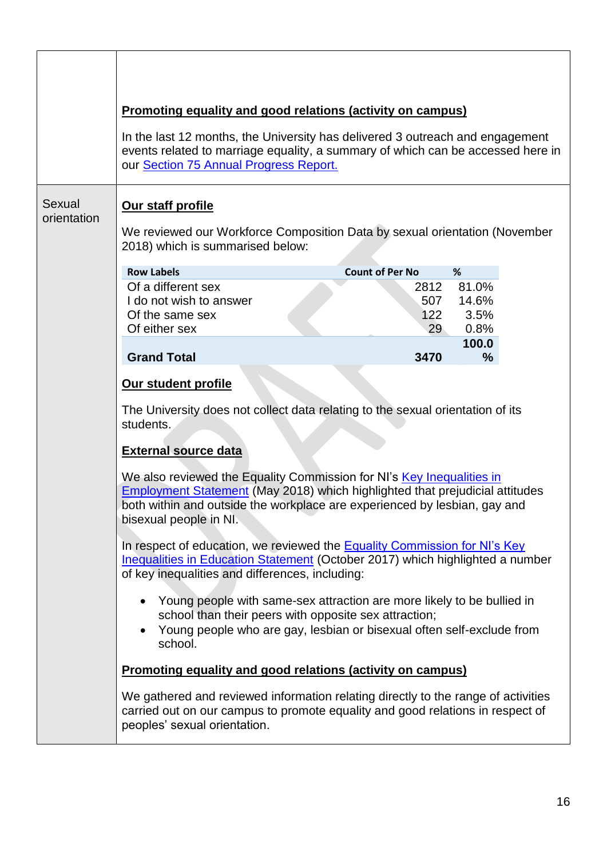|                       | <b>Promoting equality and good relations (activity on campus)</b><br>In the last 12 months, the University has delivered 3 outreach and engagement<br>events related to marriage equality, a summary of which can be accessed here in<br>our Section 75 Annual Progress Report. |                        |               |  |  |
|-----------------------|---------------------------------------------------------------------------------------------------------------------------------------------------------------------------------------------------------------------------------------------------------------------------------|------------------------|---------------|--|--|
| Sexual<br>orientation | Our staff profile<br>We reviewed our Workforce Composition Data by sexual orientation (November                                                                                                                                                                                 |                        |               |  |  |
|                       | 2018) which is summarised below:                                                                                                                                                                                                                                                |                        |               |  |  |
|                       | <b>Row Labels</b>                                                                                                                                                                                                                                                               | <b>Count of Per No</b> | %             |  |  |
|                       | Of a different sex                                                                                                                                                                                                                                                              | 2812                   | 81.0%         |  |  |
|                       | I do not wish to answer<br>Of the same sex                                                                                                                                                                                                                                      | 507<br>122             | 14.6%<br>3.5% |  |  |
|                       | Of either sex                                                                                                                                                                                                                                                                   | 29                     | 0.8%          |  |  |
|                       | <b>Grand Total</b>                                                                                                                                                                                                                                                              | 3470                   | 100.0<br>$\%$ |  |  |
|                       |                                                                                                                                                                                                                                                                                 |                        |               |  |  |
|                       | Our student profile                                                                                                                                                                                                                                                             |                        |               |  |  |
|                       | The University does not collect data relating to the sexual orientation of its<br>students.                                                                                                                                                                                     |                        |               |  |  |
|                       | <b>External source data</b>                                                                                                                                                                                                                                                     |                        |               |  |  |
|                       | We also reviewed the Equality Commission for NI's Key Inequalities in<br><b>Employment Statement (May 2018) which highlighted that prejudicial attitudes</b><br>both within and outside the workplace are experienced by lesbian, gay and<br>bisexual people in NI.             |                        |               |  |  |
|                       | In respect of education, we reviewed the <b>Equality Commission for NI's Key</b><br><b>Inequalities in Education Statement (October 2017) which highlighted a number</b><br>of key inequalities and differences, including:                                                     |                        |               |  |  |
|                       | Young people with same-sex attraction are more likely to be bullied in<br>school than their peers with opposite sex attraction;<br>Young people who are gay, lesbian or bisexual often self-exclude from<br>school.                                                             |                        |               |  |  |
|                       | <b>Promoting equality and good relations (activity on campus)</b>                                                                                                                                                                                                               |                        |               |  |  |
|                       | We gathered and reviewed information relating directly to the range of activities<br>carried out on our campus to promote equality and good relations in respect of<br>peoples' sexual orientation.                                                                             |                        |               |  |  |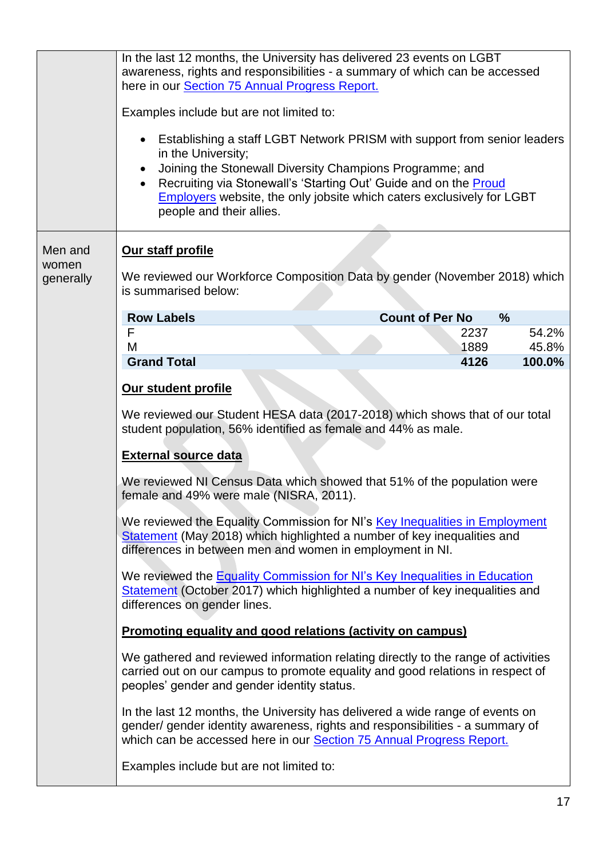| <b>Employers</b> website, the only jobsite which caters exclusively for LGBT                                                                                                                                                                                                                                                                                                                                                                                                                                                                                              |  |  |
|---------------------------------------------------------------------------------------------------------------------------------------------------------------------------------------------------------------------------------------------------------------------------------------------------------------------------------------------------------------------------------------------------------------------------------------------------------------------------------------------------------------------------------------------------------------------------|--|--|
| Our staff profile<br>We reviewed our Workforce Composition Data by gender (November 2018) which<br>is summarised below:                                                                                                                                                                                                                                                                                                                                                                                                                                                   |  |  |
|                                                                                                                                                                                                                                                                                                                                                                                                                                                                                                                                                                           |  |  |
| 54.2%                                                                                                                                                                                                                                                                                                                                                                                                                                                                                                                                                                     |  |  |
| 45.8%                                                                                                                                                                                                                                                                                                                                                                                                                                                                                                                                                                     |  |  |
| 100.0%                                                                                                                                                                                                                                                                                                                                                                                                                                                                                                                                                                    |  |  |
| We reviewed our Student HESA data (2017-2018) which shows that of our total<br>We reviewed NI Census Data which showed that 51% of the population were<br>We reviewed the Equality Commission for NI's Key Inequalities in Employment<br>We reviewed the Equality Commission for NI's Key Inequalities in Education<br>Statement (October 2017) which highlighted a number of key inequalities and<br>We gathered and reviewed information relating directly to the range of activities<br>carried out on our campus to promote equality and good relations in respect of |  |  |
| In the last 12 months, the University has delivered a wide range of events on<br>gender/gender identity awareness, rights and responsibilities - a summary of                                                                                                                                                                                                                                                                                                                                                                                                             |  |  |
|                                                                                                                                                                                                                                                                                                                                                                                                                                                                                                                                                                           |  |  |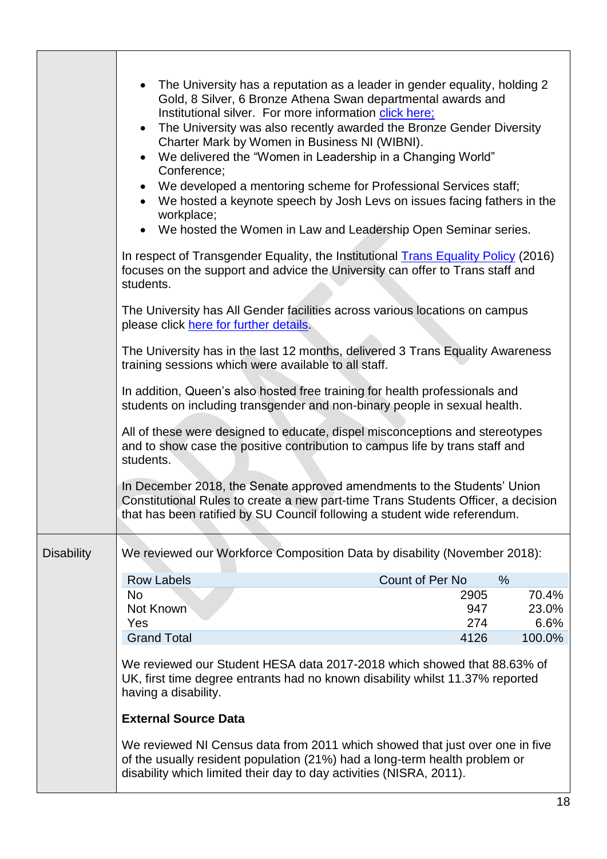|                   | The University has a reputation as a leader in gender equality, holding 2<br>Gold, 8 Silver, 6 Bronze Athena Swan departmental awards and<br>Institutional silver. For more information click here;<br>The University was also recently awarded the Bronze Gender Diversity<br>$\bullet$<br>Charter Mark by Women in Business NI (WIBNI).<br>We delivered the "Women in Leadership in a Changing World"<br>Conference;<br>We developed a mentoring scheme for Professional Services staff;<br>$\bullet$<br>We hosted a keynote speech by Josh Levs on issues facing fathers in the<br>workplace;<br>We hosted the Women in Law and Leadership Open Seminar series. |             |                |
|-------------------|--------------------------------------------------------------------------------------------------------------------------------------------------------------------------------------------------------------------------------------------------------------------------------------------------------------------------------------------------------------------------------------------------------------------------------------------------------------------------------------------------------------------------------------------------------------------------------------------------------------------------------------------------------------------|-------------|----------------|
|                   | In respect of Transgender Equality, the Institutional Trans Equality Policy (2016)<br>focuses on the support and advice the University can offer to Trans staff and<br>students.                                                                                                                                                                                                                                                                                                                                                                                                                                                                                   |             |                |
|                   | The University has All Gender facilities across various locations on campus<br>please click here for further details.                                                                                                                                                                                                                                                                                                                                                                                                                                                                                                                                              |             |                |
|                   | The University has in the last 12 months, delivered 3 Trans Equality Awareness<br>training sessions which were available to all staff.                                                                                                                                                                                                                                                                                                                                                                                                                                                                                                                             |             |                |
|                   | In addition, Queen's also hosted free training for health professionals and<br>students on including transgender and non-binary people in sexual health.                                                                                                                                                                                                                                                                                                                                                                                                                                                                                                           |             |                |
|                   | All of these were designed to educate, dispel misconceptions and stereotypes<br>and to show case the positive contribution to campus life by trans staff and<br>students.                                                                                                                                                                                                                                                                                                                                                                                                                                                                                          |             |                |
|                   | In December 2018, the Senate approved amendments to the Students' Union<br>Constitutional Rules to create a new part-time Trans Students Officer, a decision<br>that has been ratified by SU Council following a student wide referendum.                                                                                                                                                                                                                                                                                                                                                                                                                          |             |                |
| <b>Disability</b> | We reviewed our Workforce Composition Data by disability (November 2018):                                                                                                                                                                                                                                                                                                                                                                                                                                                                                                                                                                                          |             |                |
|                   | Count of Per No<br><b>Row Labels</b><br>$\%$                                                                                                                                                                                                                                                                                                                                                                                                                                                                                                                                                                                                                       |             |                |
|                   | <b>No</b>                                                                                                                                                                                                                                                                                                                                                                                                                                                                                                                                                                                                                                                          | 2905        | 70.4%          |
|                   | Not Known                                                                                                                                                                                                                                                                                                                                                                                                                                                                                                                                                                                                                                                          | 947         | 23.0%          |
|                   | Yes<br><b>Grand Total</b>                                                                                                                                                                                                                                                                                                                                                                                                                                                                                                                                                                                                                                          | 274<br>4126 | 6.6%<br>100.0% |
|                   | We reviewed our Student HESA data 2017-2018 which showed that 88.63% of<br>UK, first time degree entrants had no known disability whilst 11.37% reported<br>having a disability.                                                                                                                                                                                                                                                                                                                                                                                                                                                                                   |             |                |
|                   | <b>External Source Data</b>                                                                                                                                                                                                                                                                                                                                                                                                                                                                                                                                                                                                                                        |             |                |
|                   | We reviewed NI Census data from 2011 which showed that just over one in five<br>of the usually resident population (21%) had a long-term health problem or<br>disability which limited their day to day activities (NISRA, 2011).                                                                                                                                                                                                                                                                                                                                                                                                                                  |             |                |

 $\mathsf{r}$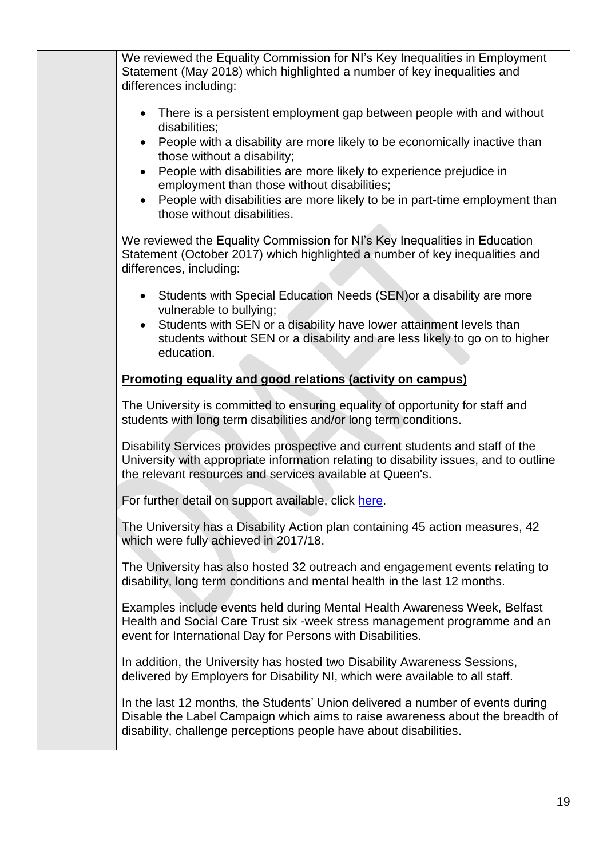| We reviewed the Equality Commission for NI's Key Inequalities in Employment<br>Statement (May 2018) which highlighted a number of key inequalities and<br>differences including:                                                     |
|--------------------------------------------------------------------------------------------------------------------------------------------------------------------------------------------------------------------------------------|
| There is a persistent employment gap between people with and without<br>$\bullet$<br>disabilities;                                                                                                                                   |
| People with a disability are more likely to be economically inactive than<br>$\bullet$<br>those without a disability;                                                                                                                |
| People with disabilities are more likely to experience prejudice in<br>$\bullet$<br>employment than those without disabilities;                                                                                                      |
| People with disabilities are more likely to be in part-time employment than<br>those without disabilities.                                                                                                                           |
| We reviewed the Equality Commission for NI's Key Inequalities in Education<br>Statement (October 2017) which highlighted a number of key inequalities and<br>differences, including:                                                 |
| Students with Special Education Needs (SEN) or a disability are more<br>$\bullet$<br>vulnerable to bullying;                                                                                                                         |
| Students with SEN or a disability have lower attainment levels than<br>$\bullet$<br>students without SEN or a disability and are less likely to go on to higher<br>education.                                                        |
| <b>Promoting equality and good relations (activity on campus)</b>                                                                                                                                                                    |
| The University is committed to ensuring equality of opportunity for staff and<br>students with long term disabilities and/or long term conditions.                                                                                   |
| Disability Services provides prospective and current students and staff of the<br>University with appropriate information relating to disability issues, and to outline<br>the relevant resources and services available at Queen's. |
| For further detail on support available, click here.                                                                                                                                                                                 |
| The University has a Disability Action plan containing 45 action measures, 42<br>which were fully achieved in 2017/18.                                                                                                               |
| The University has also hosted 32 outreach and engagement events relating to<br>disability, long term conditions and mental health in the last 12 months.                                                                            |
| Examples include events held during Mental Health Awareness Week, Belfast<br>Health and Social Care Trust six -week stress management programme and an<br>event for International Day for Persons with Disabilities.                 |
| In addition, the University has hosted two Disability Awareness Sessions,<br>delivered by Employers for Disability NI, which were available to all staff.                                                                            |
| In the last 12 months, the Students' Union delivered a number of events during<br>Disable the Label Campaign which aims to raise awareness about the breadth of<br>disability, challenge perceptions people have about disabilities. |
|                                                                                                                                                                                                                                      |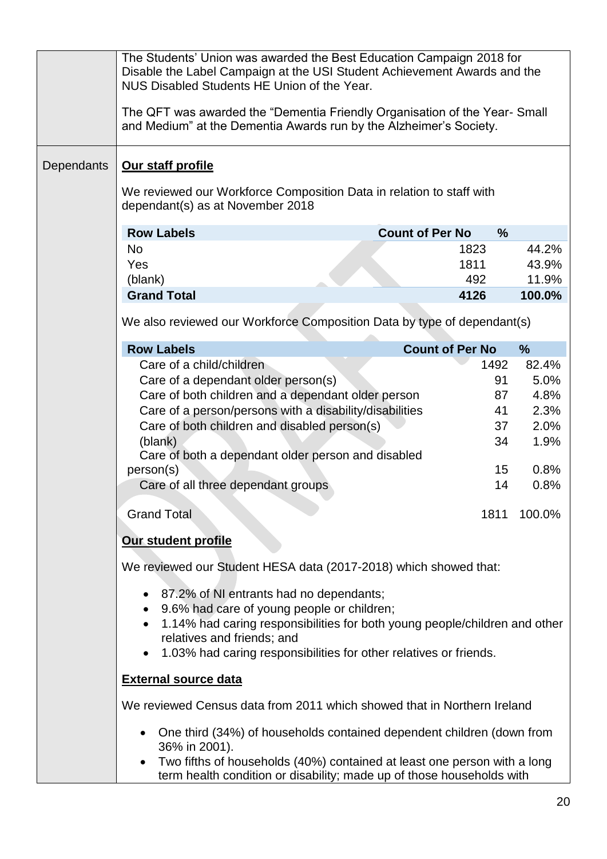|            | The Students' Union was awarded the Best Education Campaign 2018 for<br>Disable the Label Campaign at the USI Student Achievement Awards and the<br>NUS Disabled Students HE Union of the Year.<br>The QFT was awarded the "Dementia Friendly Organisation of the Year-Small<br>and Medium" at the Dementia Awards run by the Alzheimer's Society. |                                         |               |
|------------|----------------------------------------------------------------------------------------------------------------------------------------------------------------------------------------------------------------------------------------------------------------------------------------------------------------------------------------------------|-----------------------------------------|---------------|
| Dependants | Our staff profile                                                                                                                                                                                                                                                                                                                                  |                                         |               |
|            | We reviewed our Workforce Composition Data in relation to staff with<br>dependant(s) as at November 2018                                                                                                                                                                                                                                           |                                         |               |
|            | <b>Row Labels</b>                                                                                                                                                                                                                                                                                                                                  | <b>Count of Per No</b><br>$\frac{9}{6}$ |               |
|            | No.                                                                                                                                                                                                                                                                                                                                                | 1823                                    | 44.2%         |
|            | Yes                                                                                                                                                                                                                                                                                                                                                | 1811                                    | 43.9%         |
|            | (blank)                                                                                                                                                                                                                                                                                                                                            | 492                                     | 11.9%         |
|            | <b>Grand Total</b>                                                                                                                                                                                                                                                                                                                                 | 4126                                    | 100.0%        |
|            | We also reviewed our Workforce Composition Data by type of dependant(s)                                                                                                                                                                                                                                                                            |                                         |               |
|            | <b>Row Labels</b>                                                                                                                                                                                                                                                                                                                                  | <b>Count of Per No</b>                  | $\frac{9}{6}$ |
|            | Care of a child/children                                                                                                                                                                                                                                                                                                                           | 1492                                    | 82.4%         |
|            | Care of a dependant older person(s)                                                                                                                                                                                                                                                                                                                | 91                                      | 5.0%          |
|            | Care of both children and a dependant older person                                                                                                                                                                                                                                                                                                 | 87                                      | 4.8%          |
|            | Care of a person/persons with a disability/disabilities                                                                                                                                                                                                                                                                                            | 41                                      | 2.3%          |
|            | Care of both children and disabled person(s)                                                                                                                                                                                                                                                                                                       | 37<br>34                                | 2.0%<br>1.9%  |
|            | (blank)<br>Care of both a dependant older person and disabled                                                                                                                                                                                                                                                                                      |                                         |               |
|            | person(s)                                                                                                                                                                                                                                                                                                                                          | 15 <sub>1</sub>                         | 0.8%          |
|            | Care of all three dependant groups                                                                                                                                                                                                                                                                                                                 | 14                                      | 0.8%          |
|            | <b>Grand Total</b>                                                                                                                                                                                                                                                                                                                                 | 1811                                    | 100.0%        |
|            | Our student profile                                                                                                                                                                                                                                                                                                                                |                                         |               |
|            | We reviewed our Student HESA data (2017-2018) which showed that:                                                                                                                                                                                                                                                                                   |                                         |               |
|            | • 87.2% of NI entrants had no dependants;<br>9.6% had care of young people or children;<br>1.14% had caring responsibilities for both young people/children and other<br>$\bullet$<br>relatives and friends; and<br>1.03% had caring responsibilities for other relatives or friends.<br>$\bullet$                                                 |                                         |               |
|            | <b>External source data</b>                                                                                                                                                                                                                                                                                                                        |                                         |               |
|            | We reviewed Census data from 2011 which showed that in Northern Ireland                                                                                                                                                                                                                                                                            |                                         |               |
|            | One third (34%) of households contained dependent children (down from<br>36% in 2001).                                                                                                                                                                                                                                                             |                                         |               |
|            | Two fifths of households (40%) contained at least one person with a long<br>term health condition or disability; made up of those households with                                                                                                                                                                                                  |                                         |               |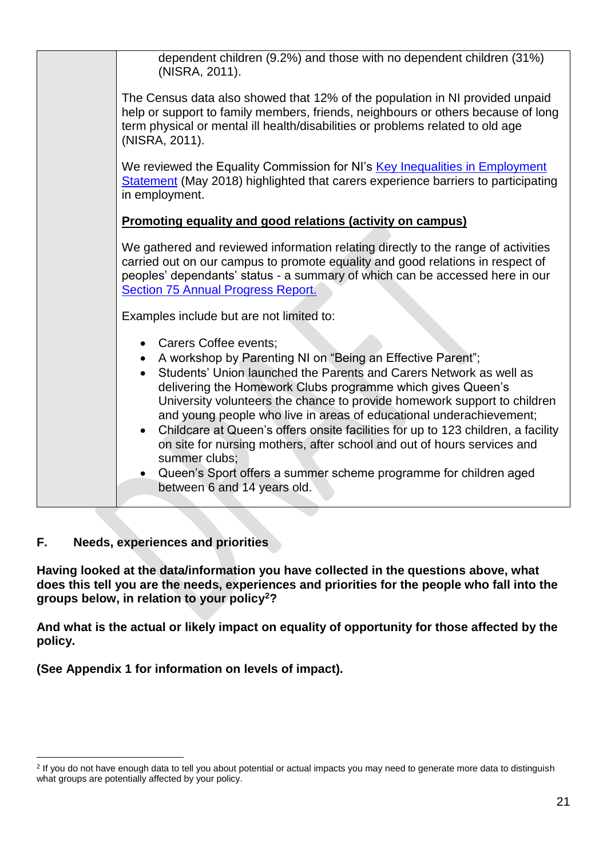|  | dependent children (9.2%) and those with no dependent children (31%)<br>(NISRA, 2011).                                                                                                                                                                                                                                                                                                                                                                                                                                                                                                                                                                               |
|--|----------------------------------------------------------------------------------------------------------------------------------------------------------------------------------------------------------------------------------------------------------------------------------------------------------------------------------------------------------------------------------------------------------------------------------------------------------------------------------------------------------------------------------------------------------------------------------------------------------------------------------------------------------------------|
|  | The Census data also showed that 12% of the population in NI provided unpaid<br>help or support to family members, friends, neighbours or others because of long<br>term physical or mental ill health/disabilities or problems related to old age<br>(NISRA, 2011).                                                                                                                                                                                                                                                                                                                                                                                                 |
|  | We reviewed the Equality Commission for NI's Key Inequalities in Employment<br>Statement (May 2018) highlighted that carers experience barriers to participating<br>in employment.                                                                                                                                                                                                                                                                                                                                                                                                                                                                                   |
|  | <b>Promoting equality and good relations (activity on campus)</b>                                                                                                                                                                                                                                                                                                                                                                                                                                                                                                                                                                                                    |
|  | We gathered and reviewed information relating directly to the range of activities<br>carried out on our campus to promote equality and good relations in respect of<br>peoples' dependants' status - a summary of which can be accessed here in our<br><b>Section 75 Annual Progress Report.</b>                                                                                                                                                                                                                                                                                                                                                                     |
|  | Examples include but are not limited to:                                                                                                                                                                                                                                                                                                                                                                                                                                                                                                                                                                                                                             |
|  | • Carers Coffee events;<br>• A workshop by Parenting NI on "Being an Effective Parent";<br>Students' Union launched the Parents and Carers Network as well as<br>delivering the Homework Clubs programme which gives Queen's<br>University volunteers the chance to provide homework support to children<br>and young people who live in areas of educational underachievement;<br>Childcare at Queen's offers onsite facilities for up to 123 children, a facility<br>on site for nursing mothers, after school and out of hours services and<br>summer clubs;<br>• Queen's Sport offers a summer scheme programme for children aged<br>between 6 and 14 years old. |
|  |                                                                                                                                                                                                                                                                                                                                                                                                                                                                                                                                                                                                                                                                      |

## **F. Needs, experiences and priorities**

**Having looked at the data/information you have collected in the questions above, what does this tell you are the needs, experiences and priorities for the people who fall into the groups below, in relation to your policy<sup>2</sup>?** 

**And what is the actual or likely impact on equality of opportunity for those affected by the policy.** 

**(See Appendix 1 for information on levels of impact).** 

<sup>1</sup> <sup>2</sup> If you do not have enough data to tell you about potential or actual impacts you may need to generate more data to distinguish what groups are potentially affected by your policy.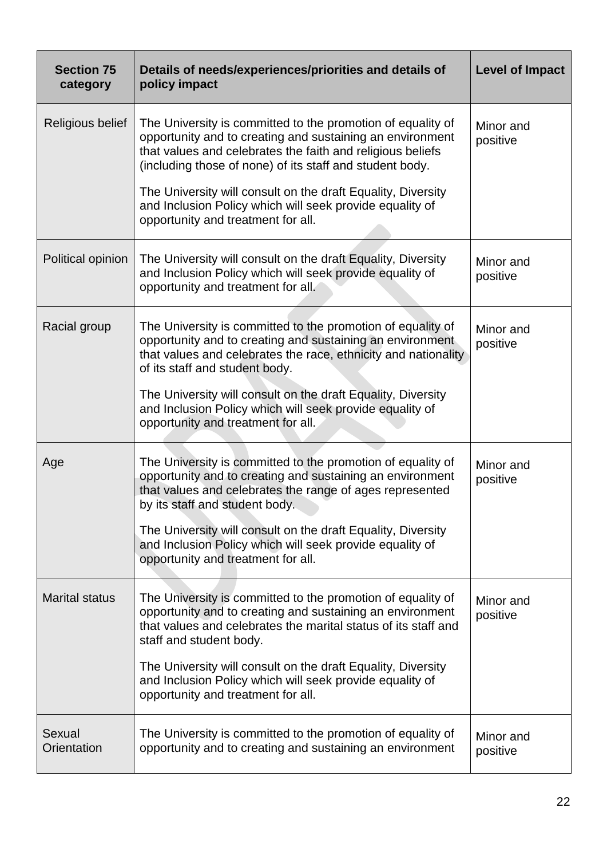| <b>Section 75</b><br>category | Details of needs/experiences/priorities and details of<br>policy impact                                                                                                                                                                            | <b>Level of Impact</b> |
|-------------------------------|----------------------------------------------------------------------------------------------------------------------------------------------------------------------------------------------------------------------------------------------------|------------------------|
| Religious belief              | The University is committed to the promotion of equality of<br>opportunity and to creating and sustaining an environment<br>that values and celebrates the faith and religious beliefs<br>(including those of none) of its staff and student body. | Minor and<br>positive  |
|                               | The University will consult on the draft Equality, Diversity<br>and Inclusion Policy which will seek provide equality of<br>opportunity and treatment for all.                                                                                     |                        |
| Political opinion             | The University will consult on the draft Equality, Diversity<br>and Inclusion Policy which will seek provide equality of<br>opportunity and treatment for all.                                                                                     | Minor and<br>positive  |
| Racial group                  | The University is committed to the promotion of equality of<br>opportunity and to creating and sustaining an environment<br>that values and celebrates the race, ethnicity and nationality<br>of its staff and student body.                       | Minor and<br>positive  |
|                               | The University will consult on the draft Equality, Diversity<br>and Inclusion Policy which will seek provide equality of<br>opportunity and treatment for all.                                                                                     |                        |
| Age                           | The University is committed to the promotion of equality of<br>opportunity and to creating and sustaining an environment<br>that values and celebrates the range of ages represented<br>by its staff and student body.                             | Minor and<br>positive  |
|                               | The University will consult on the draft Equality, Diversity<br>and Inclusion Policy which will seek provide equality of<br>opportunity and treatment for all.                                                                                     |                        |
| <b>Marital status</b>         | The University is committed to the promotion of equality of<br>opportunity and to creating and sustaining an environment<br>that values and celebrates the marital status of its staff and<br>staff and student body.                              | Minor and<br>positive  |
|                               | The University will consult on the draft Equality, Diversity<br>and Inclusion Policy which will seek provide equality of<br>opportunity and treatment for all.                                                                                     |                        |
| Sexual<br>Orientation         | The University is committed to the promotion of equality of<br>opportunity and to creating and sustaining an environment                                                                                                                           | Minor and<br>positive  |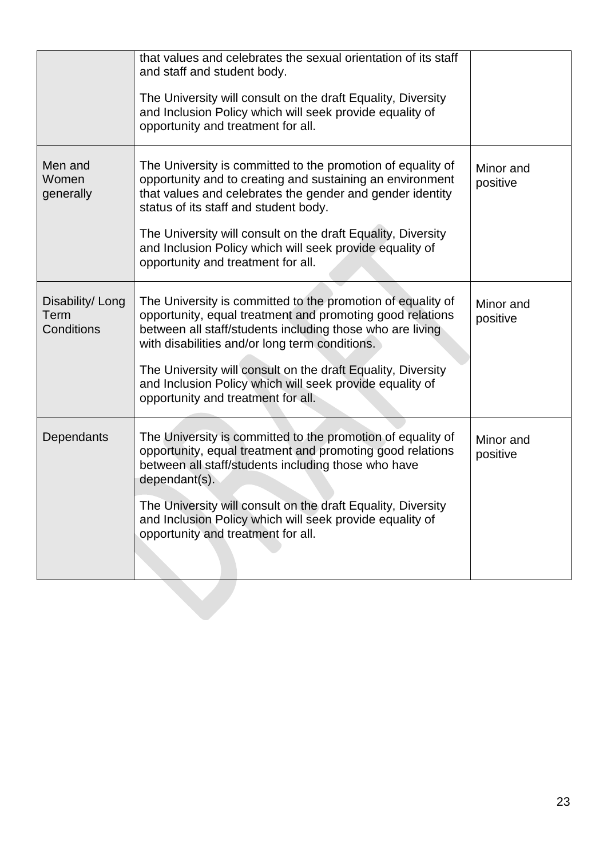|                                        | that values and celebrates the sexual orientation of its staff<br>and staff and student body.<br>The University will consult on the draft Equality, Diversity<br>and Inclusion Policy which will seek provide equality of<br>opportunity and treatment for all.                                                                                                                                           |                       |
|----------------------------------------|-----------------------------------------------------------------------------------------------------------------------------------------------------------------------------------------------------------------------------------------------------------------------------------------------------------------------------------------------------------------------------------------------------------|-----------------------|
| Men and<br>Women<br>generally          | The University is committed to the promotion of equality of<br>opportunity and to creating and sustaining an environment<br>that values and celebrates the gender and gender identity<br>status of its staff and student body.<br>The University will consult on the draft Equality, Diversity<br>and Inclusion Policy which will seek provide equality of<br>opportunity and treatment for all.          | Minor and<br>positive |
| Disability/ Long<br>Term<br>Conditions | The University is committed to the promotion of equality of<br>opportunity, equal treatment and promoting good relations<br>between all staff/students including those who are living<br>with disabilities and/or long term conditions.<br>The University will consult on the draft Equality, Diversity<br>and Inclusion Policy which will seek provide equality of<br>opportunity and treatment for all. | Minor and<br>positive |
| Dependants                             | The University is committed to the promotion of equality of<br>opportunity, equal treatment and promoting good relations<br>between all staff/students including those who have<br>dependant(s).<br>The University will consult on the draft Equality, Diversity<br>and Inclusion Policy which will seek provide equality of<br>opportunity and treatment for all.                                        | Minor and<br>positive |
|                                        |                                                                                                                                                                                                                                                                                                                                                                                                           |                       |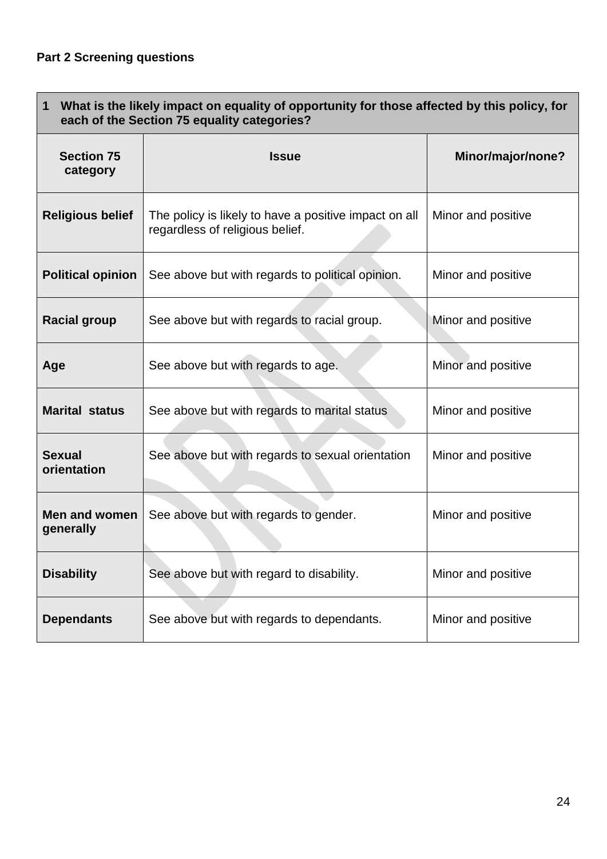| What is the likely impact on equality of opportunity for those affected by this policy, for<br>$\mathbf 1$<br>each of the Section 75 equality categories? |                                                                                          |                    |
|-----------------------------------------------------------------------------------------------------------------------------------------------------------|------------------------------------------------------------------------------------------|--------------------|
| <b>Section 75</b><br>category                                                                                                                             | <b>Issue</b>                                                                             | Minor/major/none?  |
| <b>Religious belief</b>                                                                                                                                   | The policy is likely to have a positive impact on all<br>regardless of religious belief. | Minor and positive |
| <b>Political opinion</b>                                                                                                                                  | See above but with regards to political opinion.                                         | Minor and positive |
| <b>Racial group</b>                                                                                                                                       | See above but with regards to racial group.                                              | Minor and positive |
| Age                                                                                                                                                       | See above but with regards to age.                                                       | Minor and positive |
| <b>Marital status</b>                                                                                                                                     | See above but with regards to marital status                                             | Minor and positive |
| <b>Sexual</b><br>orientation                                                                                                                              | See above but with regards to sexual orientation                                         | Minor and positive |
| Men and women<br>generally                                                                                                                                | See above but with regards to gender.                                                    | Minor and positive |
| <b>Disability</b>                                                                                                                                         | See above but with regard to disability.                                                 | Minor and positive |
| <b>Dependants</b>                                                                                                                                         | See above but with regards to dependants.                                                | Minor and positive |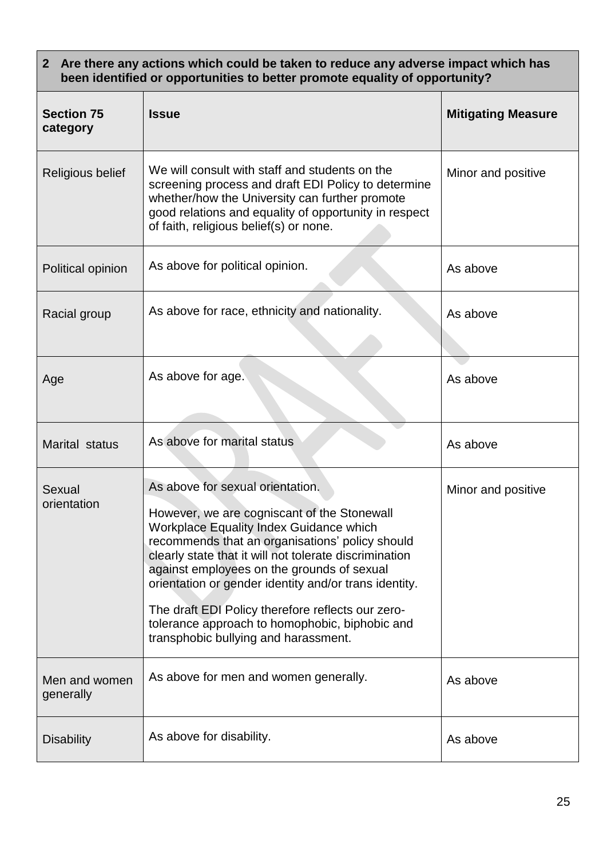| 2 Are there any actions which could be taken to reduce any adverse impact which has<br>been identified or opportunities to better promote equality of opportunity? |                                                                                                                                                                                                                                                                                                                                                                                                                                                                                                      |                           |
|--------------------------------------------------------------------------------------------------------------------------------------------------------------------|------------------------------------------------------------------------------------------------------------------------------------------------------------------------------------------------------------------------------------------------------------------------------------------------------------------------------------------------------------------------------------------------------------------------------------------------------------------------------------------------------|---------------------------|
| <b>Section 75</b><br>category                                                                                                                                      | <b>Issue</b>                                                                                                                                                                                                                                                                                                                                                                                                                                                                                         | <b>Mitigating Measure</b> |
| Religious belief                                                                                                                                                   | We will consult with staff and students on the<br>screening process and draft EDI Policy to determine<br>whether/how the University can further promote<br>good relations and equality of opportunity in respect<br>of faith, religious belief(s) or none.                                                                                                                                                                                                                                           | Minor and positive        |
| Political opinion                                                                                                                                                  | As above for political opinion.                                                                                                                                                                                                                                                                                                                                                                                                                                                                      | As above                  |
| Racial group                                                                                                                                                       | As above for race, ethnicity and nationality.                                                                                                                                                                                                                                                                                                                                                                                                                                                        | As above                  |
| Age                                                                                                                                                                | As above for age.                                                                                                                                                                                                                                                                                                                                                                                                                                                                                    | As above                  |
| Marital status                                                                                                                                                     | As above for marital status                                                                                                                                                                                                                                                                                                                                                                                                                                                                          | As above                  |
| Sexual<br>orientation                                                                                                                                              | As above for sexual orientation.<br>However, we are cogniscant of the Stonewall<br><b>Workplace Equality Index Guidance which</b><br>recommends that an organisations' policy should<br>clearly state that it will not tolerate discrimination<br>against employees on the grounds of sexual<br>orientation or gender identity and/or trans identity.<br>The draft EDI Policy therefore reflects our zero-<br>tolerance approach to homophobic, biphobic and<br>transphobic bullying and harassment. | Minor and positive        |
| Men and women<br>generally                                                                                                                                         | As above for men and women generally.                                                                                                                                                                                                                                                                                                                                                                                                                                                                | As above                  |
| <b>Disability</b>                                                                                                                                                  | As above for disability.                                                                                                                                                                                                                                                                                                                                                                                                                                                                             | As above                  |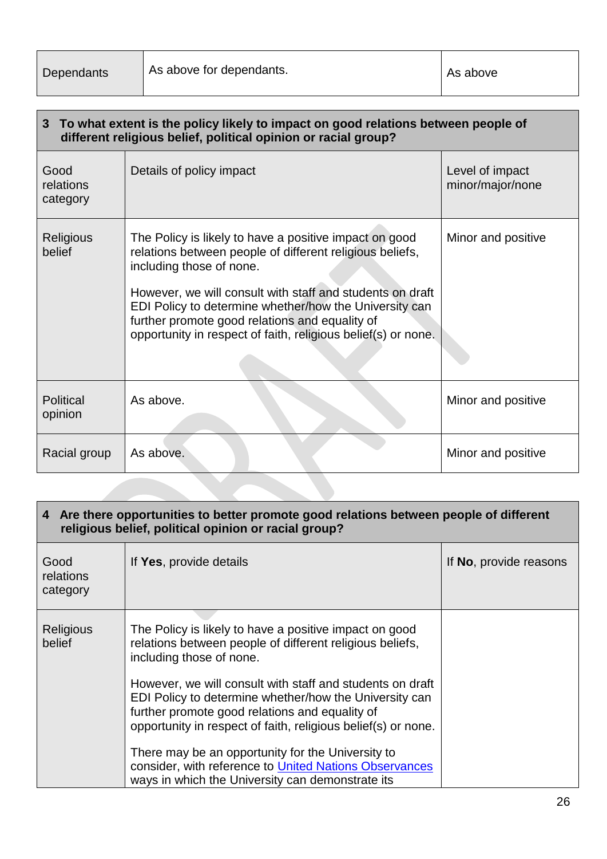| 3 To what extent is the policy likely to impact on good relations between people of<br>different religious belief, political opinion or racial group? |                                                                                                                                                                                                                                                                                                                                                                                          |                                     |  |
|-------------------------------------------------------------------------------------------------------------------------------------------------------|------------------------------------------------------------------------------------------------------------------------------------------------------------------------------------------------------------------------------------------------------------------------------------------------------------------------------------------------------------------------------------------|-------------------------------------|--|
| Good<br>relations<br>category                                                                                                                         | Details of policy impact                                                                                                                                                                                                                                                                                                                                                                 | Level of impact<br>minor/major/none |  |
| Religious<br>belief                                                                                                                                   | The Policy is likely to have a positive impact on good<br>relations between people of different religious beliefs,<br>including those of none.<br>However, we will consult with staff and students on draft<br>EDI Policy to determine whether/how the University can<br>further promote good relations and equality of<br>opportunity in respect of faith, religious belief(s) or none. | Minor and positive                  |  |
| <b>Political</b><br>opinion                                                                                                                           | As above.                                                                                                                                                                                                                                                                                                                                                                                | Minor and positive                  |  |
| Racial group                                                                                                                                          | As above.                                                                                                                                                                                                                                                                                                                                                                                | Minor and positive                  |  |

## **4 Are there opportunities to better promote good relations between people of different religious belief, political opinion or racial group?**

| Good<br>relations<br>category | If Yes, provide details                                                                                                                                                                                                                | If No, provide reasons |
|-------------------------------|----------------------------------------------------------------------------------------------------------------------------------------------------------------------------------------------------------------------------------------|------------------------|
| <b>Religious</b><br>belief    | The Policy is likely to have a positive impact on good<br>relations between people of different religious beliefs,<br>including those of none.                                                                                         |                        |
|                               | However, we will consult with staff and students on draft<br>EDI Policy to determine whether/how the University can<br>further promote good relations and equality of<br>opportunity in respect of faith, religious belief(s) or none. |                        |
|                               | There may be an opportunity for the University to<br>consider, with reference to United Nations Observances<br>ways in which the University can demonstrate its                                                                        |                        |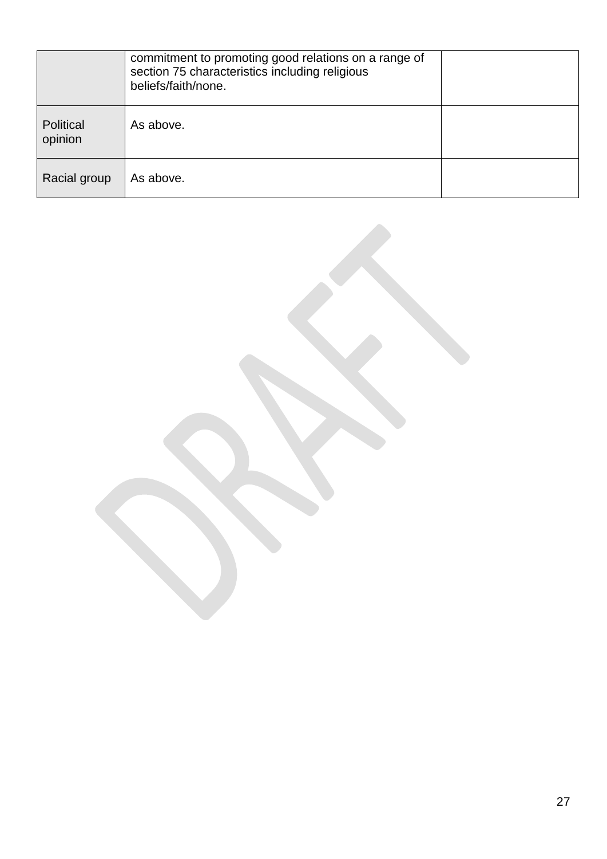|                      | commitment to promoting good relations on a range of<br>section 75 characteristics including religious<br>beliefs/faith/none. |  |
|----------------------|-------------------------------------------------------------------------------------------------------------------------------|--|
| Political<br>opinion | As above.                                                                                                                     |  |
| Racial group         | As above.                                                                                                                     |  |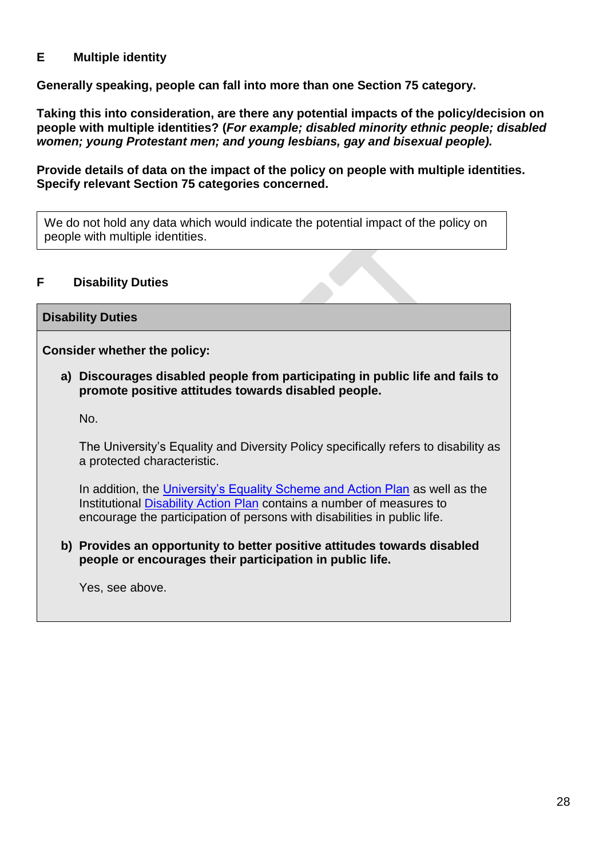## **E Multiple identity**

**Generally speaking, people can fall into more than one Section 75 category.**

**Taking this into consideration, are there any potential impacts of the policy/decision on people with multiple identities? (***For example; disabled minority ethnic people; disabled women; young Protestant men; and young lesbians, gay and bisexual people).*

**Provide details of data on the impact of the policy on people with multiple identities. Specify relevant Section 75 categories concerned.**

We do not hold any data which would indicate the potential impact of the policy on people with multiple identities.

# **F Disability Duties**

## **Disability Duties**

**Consider whether the policy:**

**a) Discourages disabled people from participating in public life and fails to promote positive attitudes towards disabled people.**

No.

The University's Equality and Diversity Policy specifically refers to disability as a protected characteristic.

In addition, the [University's Equality Scheme and Action Plan](https://www.qub.ac.uk/directorates/media/Media,832601,en.pdf) as well as the Institutional [Disability Action](https://www.qub.ac.uk/directorates/HumanResources/DiversityandInclusionUnit/FileStoreMisc/FileStore-Disability/Filetoupload,795902,en.pdf) Plan contains a number of measures to encourage the participation of persons with disabilities in public life.

**b) Provides an opportunity to better positive attitudes towards disabled people or encourages their participation in public life.**

Yes, see above.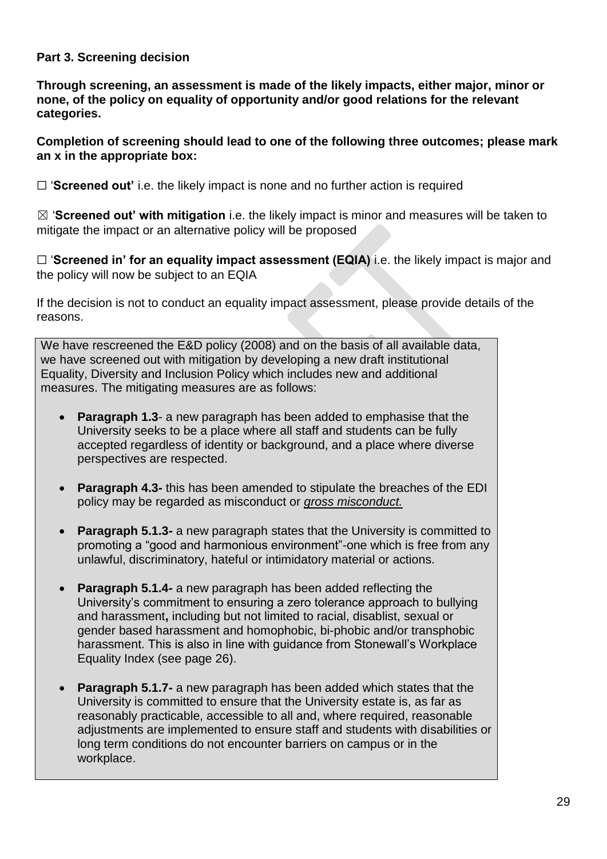## **Part 3. Screening decision**

**Through screening, an assessment is made of the likely impacts, either major, minor or none, of the policy on equality of opportunity and/or good relations for the relevant categories.** 

#### **Completion of screening should lead to one of the following three outcomes; please mark an x in the appropriate box:**

☐ '**Screened out'** i.e. the likely impact is none and no further action is required

☒ '**Screened out' with mitigation** i.e. the likely impact is minor and measures will be taken to mitigate the impact or an alternative policy will be proposed

□ 'Screened in' for an equality impact assessment (EQIA) i.e. the likely impact is major and the policy will now be subject to an EQIA

If the decision is not to conduct an equality impact assessment, please provide details of the reasons.

We have rescreened the E&D policy (2008) and on the basis of all available data, we have screened out with mitigation by developing a new draft institutional Equality, Diversity and Inclusion Policy which includes new and additional measures. The mitigating measures are as follows:

- **Paragraph 1.3** a new paragraph has been added to emphasise that the University seeks to be a place where all staff and students can be fully accepted regardless of identity or background, and a place where diverse perspectives are respected.
- **Paragraph 4.3-** this has been amended to stipulate the breaches of the EDI policy may be regarded as misconduct or *gross misconduct.*
- **Paragraph 5.1.3-** a new paragraph states that the University is committed to promoting a "good and harmonious environment"-one which is free from any unlawful, discriminatory, hateful or intimidatory material or actions.
- **Paragraph 5.1.4-** a new paragraph has been added reflecting the University's commitment to ensuring a zero tolerance approach to bullying and harassment**,** including but not limited to racial, disablist, sexual or gender based harassment and homophobic, bi-phobic and/or transphobic harassment. This is also in line with guidance from Stonewall's Workplace Equality Index (see page 26).
- **Paragraph 5.1.7-** a new paragraph has been added which states that the University is committed to ensure that the University estate is, as far as reasonably practicable, accessible to all and, where required, reasonable adjustments are implemented to ensure staff and students with disabilities or long term conditions do not encounter barriers on campus or in the workplace.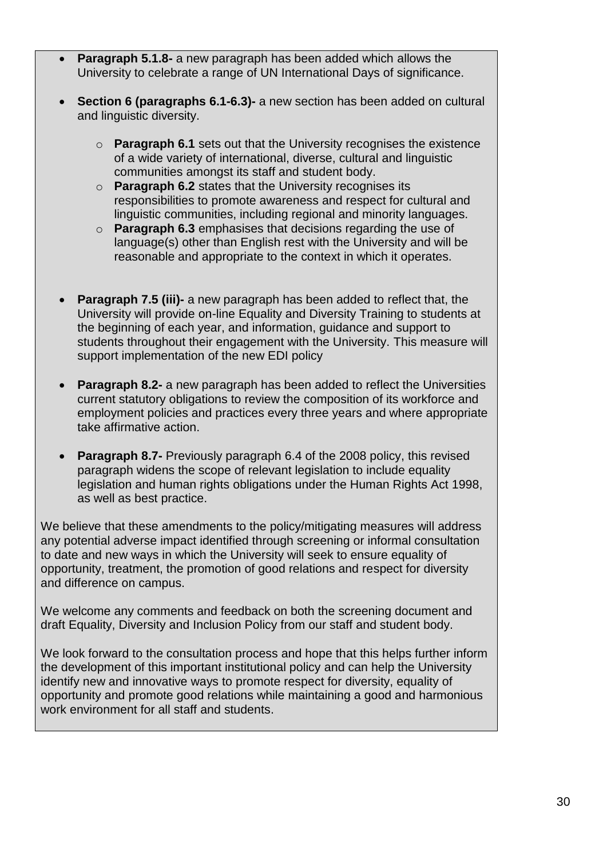- **Paragraph 5.1.8-** a new paragraph has been added which allows the University to celebrate a range of UN International Days of significance.
- **Section 6 (paragraphs 6.1-6.3)-** a new section has been added on cultural and linguistic diversity.
	- o **Paragraph 6.1** sets out that the University recognises the existence of a wide variety of international, diverse, cultural and linguistic communities amongst its staff and student body.
	- o **Paragraph 6.2** states that the University recognises its responsibilities to promote awareness and respect for cultural and linguistic communities, including regional and minority languages.
	- o **Paragraph 6.3** emphasises that decisions regarding the use of language(s) other than English rest with the University and will be reasonable and appropriate to the context in which it operates.
- **Paragraph 7.5 (iii)-** a new paragraph has been added to reflect that, the University will provide on-line Equality and Diversity Training to students at the beginning of each year, and information, guidance and support to students throughout their engagement with the University. This measure will support implementation of the new EDI policy
- **Paragraph 8.2-** a new paragraph has been added to reflect the Universities current statutory obligations to review the composition of its workforce and employment policies and practices every three years and where appropriate take affirmative action.
- **Paragraph 8.7-** Previously paragraph 6.4 of the 2008 policy, this revised paragraph widens the scope of relevant legislation to include equality legislation and human rights obligations under the Human Rights Act 1998, as well as best practice.

We believe that these amendments to the policy/mitigating measures will address any potential adverse impact identified through screening or informal consultation to date and new ways in which the University will seek to ensure equality of opportunity, treatment, the promotion of good relations and respect for diversity and difference on campus.

We welcome any comments and feedback on both the screening document and draft Equality, Diversity and Inclusion Policy from our staff and student body.

We look forward to the consultation process and hope that this helps further inform the development of this important institutional policy and can help the University identify new and innovative ways to promote respect for diversity, equality of opportunity and promote good relations while maintaining a good and harmonious work environment for all staff and students.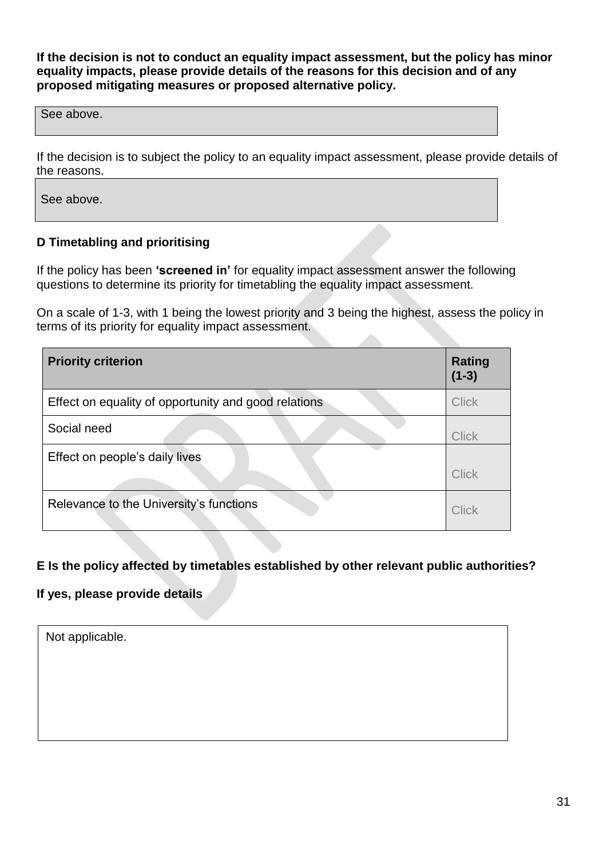**If the decision is not to conduct an equality impact assessment, but the policy has minor equality impacts, please provide details of the reasons for this decision and of any proposed mitigating measures or proposed alternative policy.** 

See above.

If the decision is to subject the policy to an equality impact assessment, please provide details of the reasons.

See above.

## **D Timetabling and prioritising**

If the policy has been **'screened in'** for equality impact assessment answer the following questions to determine its priority for timetabling the equality impact assessment.

On a scale of 1-3, with 1 being the lowest priority and 3 being the highest, assess the policy in terms of its priority for equality impact assessment. 

| <b>Priority criterion</b>                            | <b>Rating</b><br>$(1-3)$ |
|------------------------------------------------------|--------------------------|
| Effect on equality of opportunity and good relations | <b>Click</b>             |
| Social need                                          | <b>Click</b>             |
| Effect on people's daily lives                       | <b>Click</b>             |
| Relevance to the University's functions              | Click                    |

## **E Is the policy affected by timetables established by other relevant public authorities?**

## **If yes, please provide details**

Not applicable.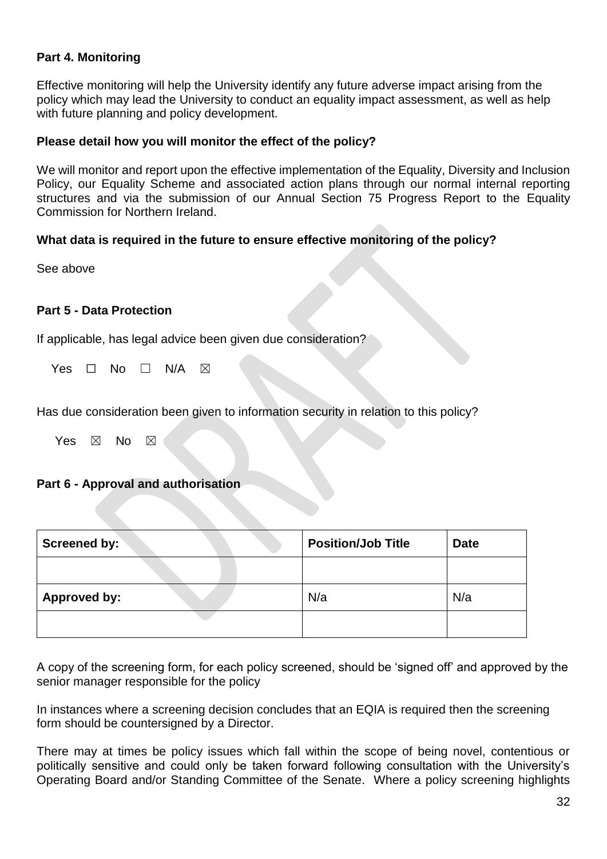#### **Part 4. Monitoring**

Effective monitoring will help the University identify any future adverse impact arising from the policy which may lead the University to conduct an equality impact assessment, as well as help with future planning and policy development.

#### **Please detail how you will monitor the effect of the policy?**

We will monitor and report upon the effective implementation of the Equality, Diversity and Inclusion Policy, our Equality Scheme and associated action plans through our normal internal reporting structures and via the submission of our Annual Section 75 Progress Report to the Equality Commission for Northern Ireland.

#### **What data is required in the future to ensure effective monitoring of the policy?**

See above

#### **Part 5 - Data Protection**

If applicable, has legal advice been given due consideration?

Yes  $\Box$  No  $\Box$  N/A  $\boxtimes$ 

Has due consideration been given to information security in relation to this policy?

Yes  $\boxtimes$  No  $\boxtimes$ 

#### **Part 6 - Approval and authorisation**

| Screened by:        | <b>Position/Job Title</b> | <b>Date</b> |
|---------------------|---------------------------|-------------|
|                     |                           |             |
| <b>Approved by:</b> | N/a                       | N/a         |
|                     |                           |             |

A copy of the screening form, for each policy screened, should be 'signed off' and approved by the senior manager responsible for the policy

In instances where a screening decision concludes that an EQIA is required then the screening form should be countersigned by a Director.

There may at times be policy issues which fall within the scope of being novel, contentious or politically sensitive and could only be taken forward following consultation with the University's Operating Board and/or Standing Committee of the Senate. Where a policy screening highlights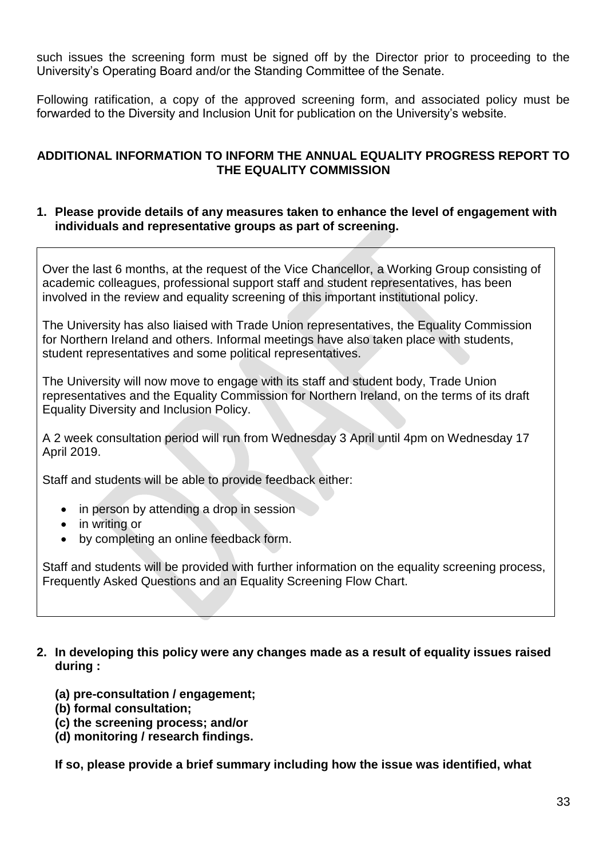such issues the screening form must be signed off by the Director prior to proceeding to the University's Operating Board and/or the Standing Committee of the Senate.

Following ratification, a copy of the approved screening form, and associated policy must be forwarded to the Diversity and Inclusion Unit for publication on the University's website.

## **ADDITIONAL INFORMATION TO INFORM THE ANNUAL EQUALITY PROGRESS REPORT TO THE EQUALITY COMMISSION**

#### **1. Please provide details of any measures taken to enhance the level of engagement with individuals and representative groups as part of screening.**

Over the last 6 months, at the request of the Vice Chancellor, a Working Group consisting of academic colleagues, professional support staff and student representatives, has been involved in the review and equality screening of this important institutional policy.

The University has also liaised with Trade Union representatives, the Equality Commission for Northern Ireland and others. Informal meetings have also taken place with students, student representatives and some political representatives.

The University will now move to engage with its staff and student body, Trade Union representatives and the Equality Commission for Northern Ireland, on the terms of its draft Equality Diversity and Inclusion Policy.

A 2 week consultation period will run from Wednesday 3 April until 4pm on Wednesday 17 April 2019.

Staff and students will be able to provide feedback either:

- in person by attending a drop in session
- in writing or
- by completing an online feedback form.

Staff and students will be provided with further information on the equality screening process, Frequently Asked Questions and an Equality Screening Flow Chart.

#### **2. In developing this policy were any changes made as a result of equality issues raised during :**

- **(a) pre-consultation / engagement;**
- **(b) formal consultation;**
- **(c) the screening process; and/or**
- **(d) monitoring / research findings.**

**If so, please provide a brief summary including how the issue was identified, what**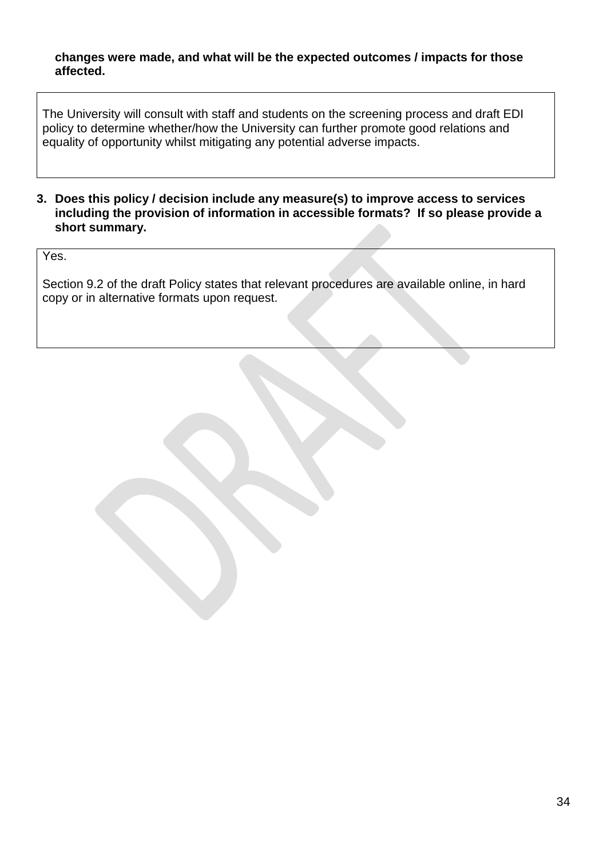#### **changes were made, and what will be the expected outcomes / impacts for those affected.**

The University will consult with staff and students on the screening process and draft EDI policy to determine whether/how the University can further promote good relations and equality of opportunity whilst mitigating any potential adverse impacts.

**3. Does this policy / decision include any measure(s) to improve access to services including the provision of information in accessible formats? If so please provide a short summary.**

Yes.

Section 9.2 of the draft Policy states that relevant procedures are available online, in hard copy or in alternative formats upon request.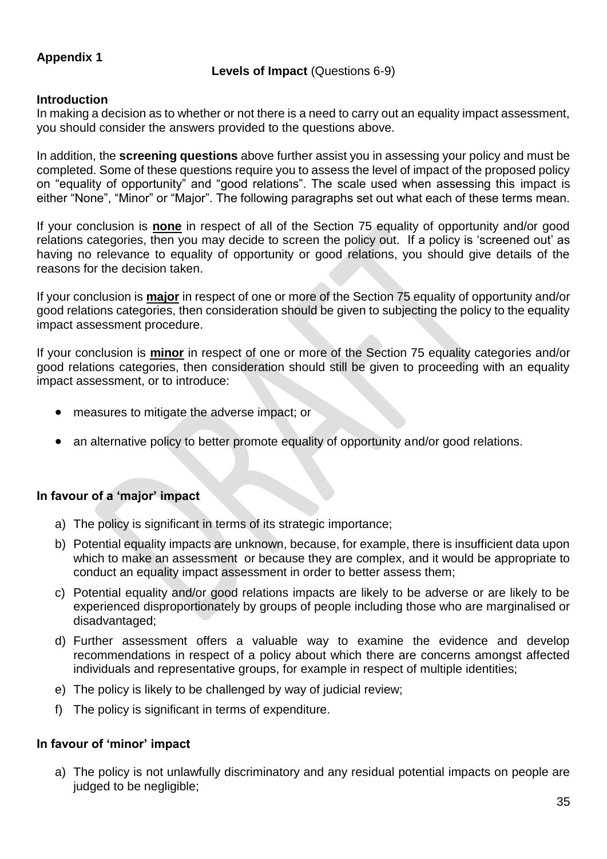# **Appendix 1**

#### **Levels of Impact** (Questions 6-9)

#### **Introduction**

In making a decision as to whether or not there is a need to carry out an equality impact assessment, you should consider the answers provided to the questions above.

In addition, the **screening questions** above further assist you in assessing your policy and must be completed. Some of these questions require you to assess the level of impact of the proposed policy on "equality of opportunity" and "good relations". The scale used when assessing this impact is either "None", "Minor" or "Major". The following paragraphs set out what each of these terms mean.

If your conclusion is **none** in respect of all of the Section 75 equality of opportunity and/or good relations categories, then you may decide to screen the policy out. If a policy is 'screened out' as having no relevance to equality of opportunity or good relations, you should give details of the reasons for the decision taken.

If your conclusion is **major** in respect of one or more of the Section 75 equality of opportunity and/or good relations categories, then consideration should be given to subjecting the policy to the equality impact assessment procedure.

If your conclusion is **minor** in respect of one or more of the Section 75 equality categories and/or good relations categories, then consideration should still be given to proceeding with an equality impact assessment, or to introduce:

- measures to mitigate the adverse impact; or
- an alternative policy to better promote equality of opportunity and/or good relations.

## **In favour of a 'major' impact**

- a) The policy is significant in terms of its strategic importance;
- b) Potential equality impacts are unknown, because, for example, there is insufficient data upon which to make an assessment or because they are complex, and it would be appropriate to conduct an equality impact assessment in order to better assess them;
- c) Potential equality and/or good relations impacts are likely to be adverse or are likely to be experienced disproportionately by groups of people including those who are marginalised or disadvantaged;
- d) Further assessment offers a valuable way to examine the evidence and develop recommendations in respect of a policy about which there are concerns amongst affected individuals and representative groups, for example in respect of multiple identities;
- e) The policy is likely to be challenged by way of judicial review;
- f) The policy is significant in terms of expenditure.

#### **In favour of 'minor' impact**

a) The policy is not unlawfully discriminatory and any residual potential impacts on people are judged to be negligible;